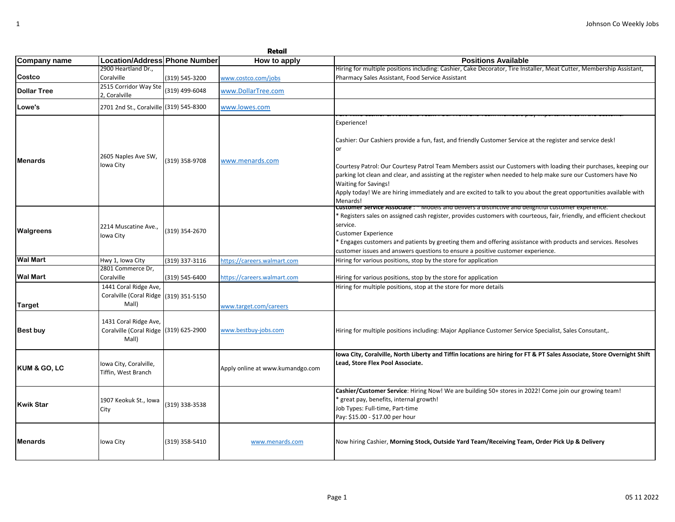| Company name       | Location/Address Phone Number                                            |                | How to apply                     | <b>Positions Available</b>                                                                                                                                                                                                                                                                                                                                                                                                                                                                                                             |
|--------------------|--------------------------------------------------------------------------|----------------|----------------------------------|----------------------------------------------------------------------------------------------------------------------------------------------------------------------------------------------------------------------------------------------------------------------------------------------------------------------------------------------------------------------------------------------------------------------------------------------------------------------------------------------------------------------------------------|
|                    | 2900 Heartland Dr.,                                                      |                |                                  | Hiring for multiple positions including: Cashier, Cake Decorator, Tire Installer, Meat Cutter, Membership Assistant,                                                                                                                                                                                                                                                                                                                                                                                                                   |
| Costco             | Coralville                                                               | (319) 545-3200 | www.costco.com/jobs              | Pharmacy Sales Assistant, Food Service Assistant                                                                                                                                                                                                                                                                                                                                                                                                                                                                                       |
| <b>Dollar Tree</b> | 2515 Corridor Way Ste<br>2, Coralville                                   | (319) 499-6048 | www.DollarTree.com               |                                                                                                                                                                                                                                                                                                                                                                                                                                                                                                                                        |
| Lowe's             | 2701 2nd St., Coralville (319) 545-8300                                  |                | www.lowes.com                    |                                                                                                                                                                                                                                                                                                                                                                                                                                                                                                                                        |
| <b>Menards</b>     | 2605 Naples Ave SW,<br>Iowa City                                         | (319) 358-9708 | www.menards.com                  | Experience!<br>Cashier: Our Cashiers provide a fun, fast, and friendly Customer Service at the register and service desk!<br>or<br>Courtesy Patrol: Our Courtesy Patrol Team Members assist our Customers with loading their purchases, keeping our<br>parking lot clean and clear, and assisting at the register when needed to help make sure our Customers have No<br><b>Waiting for Savings!</b><br>Apply today! We are hiring immediately and are excited to talk to you about the great opportunities available with<br>Menards! |
| Walgreens          | 2214 Muscatine Ave.,<br>Iowa City                                        | (319) 354-2670 |                                  | <b>Customer Service Associate</b> : " Models and delivers a distinctive and deligntiul customer experience.<br><sup>e</sup> Registers sales on assigned cash register, provides customers with courteous, fair, friendly, and efficient checkout<br>service.<br><b>Customer Experience</b><br>Engages customers and patients by greeting them and offering assistance with products and services. Resolves<br>customer issues and answers questions to ensure a positive customer experience.                                          |
| Wal Mart           | Hwy 1, Iowa City                                                         | (319) 337-3116 | https://careers.walmart.com      | Hiring for various positions, stop by the store for application                                                                                                                                                                                                                                                                                                                                                                                                                                                                        |
| Wal Mart           | 2801 Commerce Dr,<br>Coralville                                          | (319) 545-6400 | https://careers.walmart.com      | Hiring for various positions, stop by the store for application                                                                                                                                                                                                                                                                                                                                                                                                                                                                        |
| Target             | 1441 Coral Ridge Ave,<br>Coralville (Coral Ridge<br>Mall)                | (319) 351-5150 | www.target.com/careers           | Hiring for multiple positions, stop at the store for more details                                                                                                                                                                                                                                                                                                                                                                                                                                                                      |
| <b>Best buy</b>    | 1431 Coral Ridge Ave,<br>Coralville (Coral Ridge (319) 625-2900<br>Mall) |                | www.bestbuy-jobs.com             | Hiring for multiple positions including: Major Appliance Customer Service Specialist, Sales Consutant,.                                                                                                                                                                                                                                                                                                                                                                                                                                |
| KUM & GO, LC       | Iowa City, Coralville,<br>Tiffin, West Branch                            |                | Apply online at www.kumandgo.com | lowa City, Coralville, North Liberty and Tiffin locations are hiring for FT & PT Sales Associate, Store Overnight Shift<br>Lead, Store Flex Pool Associate.                                                                                                                                                                                                                                                                                                                                                                            |
| Kwik Star          | 1907 Keokuk St., Iowa<br>City                                            | (319) 338-3538 |                                  | Cashier/Customer Service: Hiring Now! We are building 50+ stores in 2022! Come join our growing team!<br>great pay, benefits, internal growth!<br>Job Types: Full-time, Part-time<br>Pay: \$15.00 - \$17.00 per hour                                                                                                                                                                                                                                                                                                                   |
| Menards            | Iowa City                                                                | (319) 358-5410 | www.menards.com                  | Now hiring Cashier, Morning Stock, Outside Yard Team/Receiving Team, Order Pick Up & Delivery                                                                                                                                                                                                                                                                                                                                                                                                                                          |

**Retail**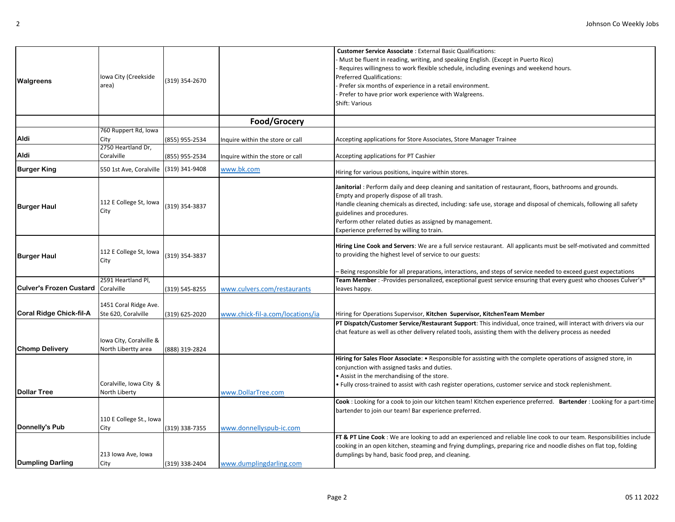| Walgreens                                 | Iowa City (Creekside<br>area)                  | (319) 354-2670 |                                  | <b>Customer Service Associate:</b> External Basic Qualifications:<br>Must be fluent in reading, writing, and speaking English. (Except in Puerto Rico)<br>Requires willingness to work flexible schedule, including evenings and weekend hours.<br><b>Preferred Qualifications:</b><br>Prefer six months of experience in a retail environment.                                                                   |
|-------------------------------------------|------------------------------------------------|----------------|----------------------------------|-------------------------------------------------------------------------------------------------------------------------------------------------------------------------------------------------------------------------------------------------------------------------------------------------------------------------------------------------------------------------------------------------------------------|
|                                           |                                                |                |                                  | Prefer to have prior work experience with Walgreens.<br>Shift: Various                                                                                                                                                                                                                                                                                                                                            |
|                                           |                                                |                | Food/Grocery                     |                                                                                                                                                                                                                                                                                                                                                                                                                   |
| Aldi                                      | 760 Ruppert Rd, Iowa<br>City                   | (855) 955-2534 | nquire within the store or call  | Accepting applications for Store Associates, Store Manager Trainee                                                                                                                                                                                                                                                                                                                                                |
| Aldi                                      | 2750 Heartland Dr,<br>Coralville               | (855) 955-2534 | nquire within the store or call  | Accepting applications for PT Cashier                                                                                                                                                                                                                                                                                                                                                                             |
| <b>Burger King</b>                        | 550 1st Ave, Coralville                        | (319) 341-9408 | www.bk.com                       | Hiring for various positions, inquire within stores.                                                                                                                                                                                                                                                                                                                                                              |
| <b>Burger Haul</b>                        | 112 E College St, Iowa<br>City                 | (319) 354-3837 |                                  | Janitorial: Perform daily and deep cleaning and sanitation of restaurant, floors, bathrooms and grounds.<br>Empty and properly dispose of all trash.<br>Handle cleaning chemicals as directed, including: safe use, storage and disposal of chemicals, following all safety<br>guidelines and procedures.<br>Perform other related duties as assigned by management.<br>Experience preferred by willing to train. |
| <b>Burger Haul</b>                        | 112 E College St, Iowa<br>City                 | (319) 354-3837 |                                  | Hiring Line Cook and Servers: We are a full service restaurant. All applicants must be self-motivated and committed<br>to providing the highest level of service to our guests:<br>Being responsible for all preparations, interactions, and steps of service needed to exceed guest expectations                                                                                                                 |
| <b>Culver's Frozen Custard Coralville</b> | 2591 Heartland Pl,                             | (319) 545-8255 | www.culvers.com/restaurants      | Team Member : -Provides personalized, exceptional guest service ensuring that every guest who chooses Culver's®<br>leaves happy.                                                                                                                                                                                                                                                                                  |
| Coral Ridge Chick-fil-A                   | 1451 Coral Ridge Ave.<br>Ste 620, Coralville   | (319) 625-2020 | www.chick-fil-a.com/locations/ia | Hiring for Operations Supervisor, Kitchen Supervisor, KitchenTeam Member                                                                                                                                                                                                                                                                                                                                          |
| <b>Chomp Delivery</b>                     | Iowa City, Coralville &<br>North Libertty area | (888) 319-2824 |                                  | PT Dispatch/Customer Service/Restaurant Support: This individual, once trained, will interact with drivers via our<br>chat feature as well as other delivery related tools, assisting them with the delivery process as needed                                                                                                                                                                                    |
|                                           | Coralville, Iowa City &                        |                |                                  | Hiring for Sales Floor Associate: • Responsible for assisting with the complete operations of assigned store, in<br>conjunction with assigned tasks and duties.<br>. Assist in the merchandising of the store.<br>• Fully cross-trained to assist with cash register operations, customer service and stock replenishment.                                                                                        |
| <b>Dollar Tree</b>                        | North Liberty                                  |                | www.DollarTree.com               |                                                                                                                                                                                                                                                                                                                                                                                                                   |
|                                           |                                                |                |                                  | Cook: Looking for a cook to join our kitchen team! Kitchen experience preferred. Bartender: Looking for a part-time<br>bartender to join our team! Bar experience preferred.                                                                                                                                                                                                                                      |
|                                           | 110 E College St., Iowa                        |                |                                  |                                                                                                                                                                                                                                                                                                                                                                                                                   |
| Donnelly's Pub                            | City                                           | (319) 338-7355 | www.donnellyspub-ic.com          |                                                                                                                                                                                                                                                                                                                                                                                                                   |
|                                           |                                                |                |                                  | FT & PT Line Cook: We are looking to add an experienced and reliable line cook to our team. Responsibilities include<br>cooking in an open kitchen, steaming and frying dumplings, preparing rice and noodle dishes on flat top, folding                                                                                                                                                                          |
|                                           | 213 Iowa Ave, Iowa                             |                |                                  | dumplings by hand, basic food prep, and cleaning.                                                                                                                                                                                                                                                                                                                                                                 |
| <b>Dumpling Darling</b>                   | City                                           | (319) 338-2404 | www.dumplingdarling.com          |                                                                                                                                                                                                                                                                                                                                                                                                                   |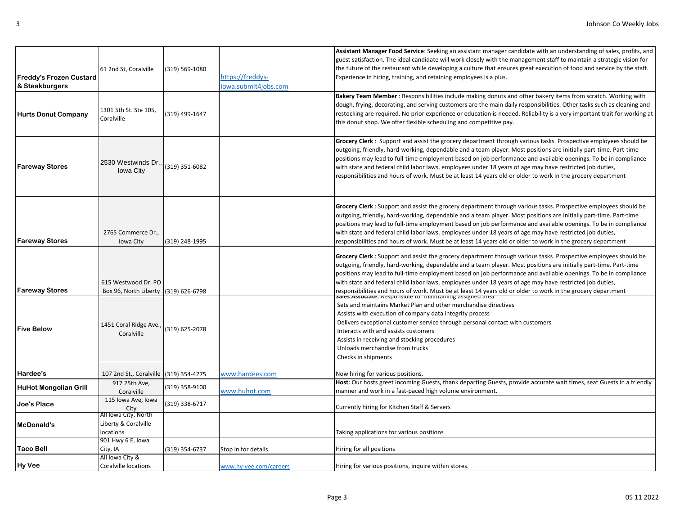| <b>Freddy's Frozen Custard</b><br>& Steakburgers | 61 2nd St, Coralville                                     | (319) 569-1080 | https://freddys-<br>iowa.submit4jobs.com | Assistant Manager Food Service: Seeking an assistant manager candidate with an understanding of sales, profits, and<br>guest satisfaction. The ideal candidate will work closely with the management staff to maintain a strategic vision for<br>the future of the restaurant while developing a culture that ensures great execution of food and service by the staff.<br>Experience in hiring, training, and retaining employees is a plus.                                                                                                                                                                                                                |
|--------------------------------------------------|-----------------------------------------------------------|----------------|------------------------------------------|--------------------------------------------------------------------------------------------------------------------------------------------------------------------------------------------------------------------------------------------------------------------------------------------------------------------------------------------------------------------------------------------------------------------------------------------------------------------------------------------------------------------------------------------------------------------------------------------------------------------------------------------------------------|
| <b>Hurts Donut Company</b>                       | 1301 5th St. Ste 105,<br>Coralville                       | (319) 499-1647 |                                          | Bakery Team Member: Responsibilities include making donuts and other bakery items from scratch. Working with<br>dough, frying, decorating, and serving customers are the main daily responsibilities. Other tasks such as cleaning and<br>restocking are required. No prior experience or education is needed. Reliability is a very important trait for working at<br>this donut shop. We offer flexible scheduling and competitive pay.                                                                                                                                                                                                                    |
| <b>Fareway Stores</b>                            | 2530 Westwinds Dr.<br><b>Iowa City</b>                    | (319) 351-6082 |                                          | Grocery Clerk: Support and assist the grocery department through various tasks. Prospective employees should be<br>outgoing, friendly, hard-working, dependable and a team player. Most positions are initially part-time. Part-time<br>positions may lead to full-time employment based on job performance and available openings. To be in compliance<br>with state and federal child labor laws, employees under 18 years of age may have restricted job duties,<br>responsibilities and hours of work. Must be at least 14 years old or older to work in the grocery department                                                                          |
| <b>Fareway Stores</b>                            | 2765 Commerce Dr.,<br>Iowa City                           | (319) 248-1995 |                                          | Grocery Clerk: Support and assist the grocery department through various tasks. Prospective employees should be<br>outgoing, friendly, hard-working, dependable and a team player. Most positions are initially part-time. Part-time<br>positions may lead to full-time employment based on job performance and available openings. To be in compliance<br>with state and federal child labor laws, employees under 18 years of age may have restricted job duties,<br>responsibilities and hours of work. Must be at least 14 years old or older to work in the grocery department                                                                          |
| <b>Fareway Stores</b>                            | 615 Westwood Dr. PO<br>Box 96, North Liberty              | (319) 626-6798 |                                          | Grocery Clerk: Support and assist the grocery department through various tasks. Prospective employees should be<br>outgoing, friendly, hard-working, dependable and a team player. Most positions are initially part-time. Part-time<br>positions may lead to full-time employment based on job performance and available openings. To be in compliance<br>with state and federal child labor laws, employees under 18 years of age may have restricted job duties,<br>responsibilities and hours of work. Must be at least 14 years old or older to work in the grocery department<br><del>pares Associate. Responsible for maintaining assigned area</del> |
| <b>Five Below</b>                                | 1451 Coral Ridge Ave.,<br>Coralville                      | (319) 625-2078 |                                          | Sets and maintains Market Plan and other merchandise directives<br>Assists with execution of company data integrity process<br>Delivers exceptional customer service through personal contact with customers<br>Interacts with and assists customers<br>Assists in receiving and stocking procedures<br>Unloads merchandise from trucks<br>Checks in shipments                                                                                                                                                                                                                                                                                               |
| Hardee's                                         | 107 2nd St., Coralville (319) 354-4275                    |                | www.hardees.com                          | Now hiring for various positions.                                                                                                                                                                                                                                                                                                                                                                                                                                                                                                                                                                                                                            |
| <b>HuHot Mongolian Grill</b>                     | 917 25th Ave,<br>Coralville                               | (319) 358-9100 | www.huhot.com                            | Host: Our hosts greet incoming Guests, thank departing Guests, provide accurate wait times, seat Guests in a friendly<br>manner and work in a fast-paced high volume environment.                                                                                                                                                                                                                                                                                                                                                                                                                                                                            |
| Joe's Place                                      | 115 Iowa Ave, Iowa<br>City                                | (319) 338-6717 |                                          | Currently hiring for Kitchen Staff & Servers                                                                                                                                                                                                                                                                                                                                                                                                                                                                                                                                                                                                                 |
| McDonald's                                       | All Iowa City, North<br>Liberty & Coralville<br>locations |                |                                          | Taking applications for various positions                                                                                                                                                                                                                                                                                                                                                                                                                                                                                                                                                                                                                    |
| <b>Taco Bell</b>                                 | 901 Hwy 6 E, Iowa<br>City, IA                             | (319) 354-6737 | Stop in for details                      | Hiring for all positions                                                                                                                                                                                                                                                                                                                                                                                                                                                                                                                                                                                                                                     |
| <b>Hy Vee</b>                                    | All Iowa City &<br><b>Coralville locations</b>            |                | www.hy-vee.com/careers                   | Hiring for various positions, inquire within stores.                                                                                                                                                                                                                                                                                                                                                                                                                                                                                                                                                                                                         |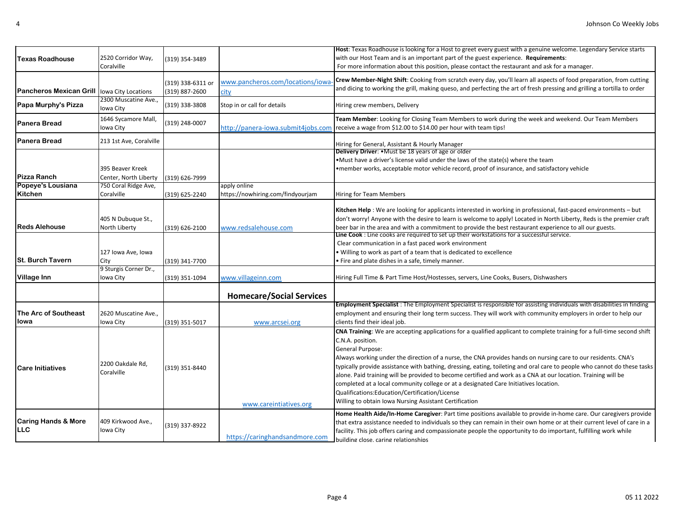|                                             |                                           |                                     |                                    | Host: Texas Roadhouse is looking for a Host to greet every guest with a genuine welcome. Legendary Service starts                                                      |
|---------------------------------------------|-------------------------------------------|-------------------------------------|------------------------------------|------------------------------------------------------------------------------------------------------------------------------------------------------------------------|
| <b>Texas Roadhouse</b>                      | 2520 Corridor Way,                        | (319) 354-3489                      |                                    | with our Host Team and is an important part of the guest experience. Requirements:                                                                                     |
|                                             | Coralville                                |                                     |                                    | For more information about this position, please contact the restaurant and ask for a manager.                                                                         |
|                                             |                                           |                                     | www.pancheros.com/locations/iowa-  | Crew Member-Night Shift: Cooking from scratch every day, you'll learn all aspects of food preparation, from cutting                                                    |
| Pancheros Mexican Grill Iowa City Locations |                                           | (319) 338-6311 or<br>(319) 887-2600 |                                    | and dicing to working the grill, making queso, and perfecting the art of fresh pressing and grilling a tortilla to order                                               |
|                                             | 2300 Muscatine Ave                        |                                     | city                               |                                                                                                                                                                        |
| Papa Murphy's Pizza                         | Iowa City                                 | (319) 338-3808                      | Stop in or call for details        | Hiring crew members, Delivery                                                                                                                                          |
| <b>Panera Bread</b>                         | 1646 Sycamore Mall,<br>lowa City          | (319) 248-0007                      | http://panera-iowa.submit4jobs.com | Team Member: Looking for Closing Team Members to work during the week and weekend. Our Team Members<br>receive a wage from \$12.00 to \$14.00 per hour with team tips! |
| <b>Panera Bread</b>                         | 213 1st Ave, Coralville                   |                                     |                                    | Hiring for General, Assistant & Hourly Manager                                                                                                                         |
|                                             |                                           |                                     |                                    | Delivery Driver: . Must be 18 years of age or older                                                                                                                    |
|                                             |                                           |                                     |                                    | .Must have a driver's license valid under the laws of the state(s) where the team                                                                                      |
| <b>Pizza Ranch</b>                          | 395 Beaver Kreek<br>Center, North Liberty |                                     |                                    | •member works, acceptable motor vehicle record, proof of insurance, and satisfactory vehicle                                                                           |
| Popeye's Lousiana                           | 750 Coral Ridge Ave,                      | (319) 626-7999                      | apply online                       |                                                                                                                                                                        |
| Kitchen                                     | Coralville                                | (319) 625-2240                      | https://nowhiring.com/findyourjam  | Hiring for Team Members                                                                                                                                                |
|                                             |                                           |                                     |                                    |                                                                                                                                                                        |
|                                             |                                           |                                     |                                    | Kitchen Help : We are looking for applicants interested in working in professional, fast-paced environments - but                                                      |
|                                             | 405 N Dubuque St.,                        |                                     |                                    | don't worry! Anyone with the desire to learn is welcome to apply! Located in North Liberty, Reds is the premier craft                                                  |
| <b>Reds Alehouse</b>                        | North Liberty                             | (319) 626-2100                      | www.redsalehouse.com               | beer bar in the area and with a commitment to provide the best restaurant experience to all our guests.                                                                |
|                                             |                                           |                                     |                                    | Line Cook: Line cooks are required to set up their workstations for a successful service.                                                                              |
|                                             |                                           |                                     |                                    | Clear communication in a fast paced work environment                                                                                                                   |
| <b>St. Burch Tavern</b>                     | 127 Iowa Ave, Iowa                        |                                     |                                    | . Willing to work as part of a team that is dedicated to excellence                                                                                                    |
|                                             | City<br>9 Sturgis Corner Dr.,             | (319) 341-7700                      |                                    | . Fire and plate dishes in a safe, timely manner.                                                                                                                      |
| <b>Village Inn</b>                          | Iowa City                                 | (319) 351-1094                      | www.villageinn.com                 | Hiring Full Time & Part Time Host/Hostesses, servers, Line Cooks, Busers, Dishwashers                                                                                  |
|                                             |                                           |                                     |                                    |                                                                                                                                                                        |
|                                             |                                           |                                     | <b>Homecare/Social Services</b>    |                                                                                                                                                                        |
|                                             |                                           |                                     |                                    | Employment Specialist: The Employment Specialist is responsible for assisting individuals with disabilities in finding                                                 |
| The Arc of Southeast                        | 2620 Muscatine Ave.,                      |                                     |                                    | employment and ensuring their long term success. They will work with community employers in order to help our                                                          |
| Iowa                                        | Iowa City                                 | (319) 351-5017                      | www.arcsei.org                     | clients find their ideal job.                                                                                                                                          |
|                                             |                                           |                                     |                                    | CNA Training: We are accepting applications for a qualified applicant to complete training for a full-time second shift                                                |
|                                             |                                           |                                     |                                    | C.N.A. position.                                                                                                                                                       |
|                                             |                                           |                                     |                                    | General Purpose:                                                                                                                                                       |
|                                             | 2200 Oakdale Rd,                          |                                     |                                    | Always working under the direction of a nurse, the CNA provides hands on nursing care to our residents. CNA's                                                          |
| <b>Care Initiatives</b>                     | Coralville                                | (319) 351-8440                      |                                    | typically provide assistance with bathing, dressing, eating, toileting and oral care to people who cannot do these tasks                                               |
|                                             |                                           |                                     |                                    | alone. Paid training will be provided to become certified and work as a CNA at our location. Training will be                                                          |
|                                             |                                           |                                     |                                    | completed at a local community college or at a designated Care Initiatives location.                                                                                   |
|                                             |                                           |                                     |                                    | Qualifications:Education/Certification/License                                                                                                                         |
|                                             |                                           |                                     | www.careintiatives.org             | Willing to obtain Iowa Nursing Assistant Certification                                                                                                                 |
|                                             |                                           |                                     |                                    | Home Health Aide/In-Home Caregiver: Part time positions available to provide in-home care. Our caregivers provide                                                      |
| <b>Caring Hands &amp; More</b>              | 409 Kirkwood Ave.,                        | (319) 337-8922                      |                                    | that extra assistance needed to individuals so they can remain in their own home or at their current level of care in a                                                |
| <b>LLC</b>                                  | Iowa City                                 |                                     |                                    | facility. This job offers caring and compassionate people the opportunity to do important, fulfilling work while                                                       |
|                                             |                                           |                                     | https://caringhandsandmore.com     | building close, caring relationships                                                                                                                                   |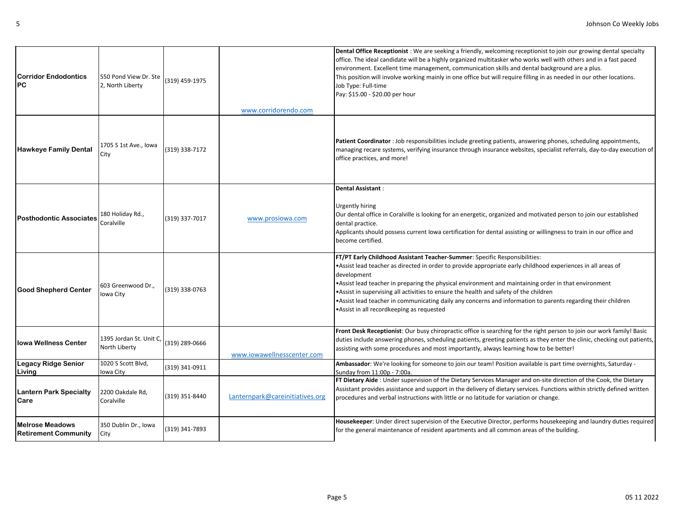| <b>Corridor Endodontics</b><br>PС                     | 550 Pond View Dr. Ste<br>2, North Liberty | (319) 459-1975 | www.corridorendo.com            | Dental Office Receptionist: We are seeking a friendly, welcoming receptionist to join our growing dental specialty<br>office. The ideal candidate will be a highly organized multitasker who works well with others and in a fast paced<br>environment. Excellent time management, communication skills and dental background are a plus.<br>This position will involve working mainly in one office but will require filling in as needed in our other locations.<br>Job Type: Full-time<br>Pay: \$15.00 - \$20.00 per hour                                             |
|-------------------------------------------------------|-------------------------------------------|----------------|---------------------------------|--------------------------------------------------------------------------------------------------------------------------------------------------------------------------------------------------------------------------------------------------------------------------------------------------------------------------------------------------------------------------------------------------------------------------------------------------------------------------------------------------------------------------------------------------------------------------|
| <b>Hawkeye Family Dental</b>                          | 1705 S 1st Ave., Iowa<br>City             | (319) 338-7172 |                                 | Patient Coordinator : Job responsibilities include greeting patients, answering phones, scheduling appointments,<br>managing recare systems, verifying insurance through insurance websites, specialist referrals, day-to-day execution of<br>office practices, and more!                                                                                                                                                                                                                                                                                                |
| <b>Posthodontic Associates</b>                        | 180 Holiday Rd.,<br>Coralville            | (319) 337-7017 | www.prosiowa.com                | Dental Assistant:<br><b>Urgently hiring</b><br>Our dental office in Coralville is looking for an energetic, organized and motivated person to join our established<br>dental practice.<br>Applicants should possess current lowa certification for dental assisting or willingness to train in our office and<br>become certified.                                                                                                                                                                                                                                       |
| <b>Good Shepherd Center</b>                           | 603 Greenwood Dr.,<br>Iowa City           | (319) 338-0763 |                                 | FT/PT Early Childhood Assistant Teacher-Summer: Specific Responsibilities:<br>•Assist lead teacher as directed in order to provide appropriate early childhood experiences in all areas of<br>development<br>*Assist lead teacher in preparing the physical environment and maintaining order in that environment<br>. Assist in supervising all activities to ensure the health and safety of the children<br>•Assist lead teacher in communicating daily any concerns and information to parents regarding their children<br>•Assist in all recordkeeping as requested |
| Iowa Wellness Center                                  | 1395 Jordan St. Unit C,<br>North Liberty  | (319) 289-0666 | www.iowawellnesscenter.com      | Front Desk Receptionist: Our busy chiropractic office is searching for the right person to join our work family! Basic<br>duties include answering phones, scheduling patients, greeting patients as they enter the clinic, checking out patients,<br>assisting with some procedures and most importantly, always learning how to be better!                                                                                                                                                                                                                             |
| Legacy Ridge Senior<br>Living                         | 1020 S Scott Blvd,<br>Iowa City           | (319) 341-0911 |                                 | Ambassador: We're looking for someone to join our team! Position available is part time overnights, Saturday -<br>Sunday from 11:00p - 7:00a.                                                                                                                                                                                                                                                                                                                                                                                                                            |
| <b>Lantern Park Specialty</b><br>Care                 | 2200 Oakdale Rd,<br>Coralville            | (319) 351-8440 | Lanternpark@careinitiatives.org | FT Dietary Aide : Under supervision of the Dietary Services Manager and on-site direction of the Cook, the Dietary<br>Assistant provides assistance and support in the delivery of dietary services. Functions within strictly defined written<br>procedures and verbal instructions with little or no latitude for variation or change.                                                                                                                                                                                                                                 |
| <b>Melrose Meadows</b><br><b>Retirement Community</b> | 350 Dublin Dr., Iowa<br>City              | (319) 341-7893 |                                 | Housekeeper: Under direct supervision of the Executive Director, performs housekeeping and laundry duties required<br>for the general maintenance of resident apartments and all common areas of the building.                                                                                                                                                                                                                                                                                                                                                           |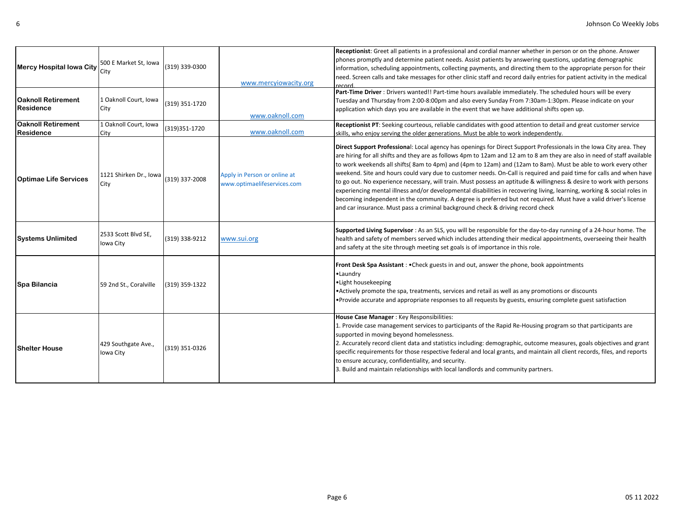| <b>Mercy Hospital lowa City</b>               | 500 E Market St, Iowa<br>City    | (319) 339-0300 | www.mercyjowacity.org                                       | Receptionist: Greet all patients in a professional and cordial manner whether in person or on the phone. Answer<br>phones promptly and determine patient needs. Assist patients by answering questions, updating demographic<br>information, scheduling appointments, collecting payments, and directing them to the appropriate person for their<br>need. Screen calls and take messages for other clinic staff and record daily entries for patient activity in the medical<br>record                                                                                                                                                                                                                                                                                                                                                                                                                                                            |
|-----------------------------------------------|----------------------------------|----------------|-------------------------------------------------------------|----------------------------------------------------------------------------------------------------------------------------------------------------------------------------------------------------------------------------------------------------------------------------------------------------------------------------------------------------------------------------------------------------------------------------------------------------------------------------------------------------------------------------------------------------------------------------------------------------------------------------------------------------------------------------------------------------------------------------------------------------------------------------------------------------------------------------------------------------------------------------------------------------------------------------------------------------|
| <b>Oaknoll Retirement</b><br><b>Residence</b> | 1 Oaknoll Court, Iowa<br>City    | (319) 351-1720 | www.oaknoll.com                                             | Part-Time Driver : Drivers wanted!! Part-time hours available immediately. The scheduled hours will be every<br>Tuesday and Thursday from 2:00-8:00pm and also every Sunday From 7:30am-1:30pm. Please indicate on your<br>application which days you are available in the event that we have additional shifts open up.                                                                                                                                                                                                                                                                                                                                                                                                                                                                                                                                                                                                                           |
| <b>Oaknoll Retirement</b><br>Residence        | 1 Oaknoll Court, Iowa<br>City    | (319) 351-1720 | www.oaknoll.com                                             | Receptionist PT: Seeking courteous, reliable candidates with good attention to detail and great customer service<br>skills, who enjoy serving the older generations. Must be able to work independently.                                                                                                                                                                                                                                                                                                                                                                                                                                                                                                                                                                                                                                                                                                                                           |
| <b>Optimae Life Services</b>                  | 1121 Shirken Dr., Iowa<br>City   | (319) 337-2008 | Apply in Person or online at<br>www.optimaelifeservices.com | Direct Support Professional: Local agency has openings for Direct Support Professionals in the Iowa City area. They<br>are hiring for all shifts and they are as follows 4pm to 12am and 12 am to 8 am they are also in need of staff available<br>to work weekends all shifts(8am to 4pm) and (4pm to 12am) and (12am to 8am). Must be able to work every other<br>weekend. Site and hours could vary due to customer needs. On-Call is required and paid time for calls and when have<br>to go out. No experience necessary, will train. Must possess an aptitude & willingness & desire to work with persons<br>experiencing mental illness and/or developmental disabilities in recovering living, learning, working & social roles in<br>becoming independent in the community. A degree is preferred but not required. Must have a valid driver's license<br>and car insurance. Must pass a criminal background check & driving record check |
| <b>Systems Unlimited</b>                      | 2533 Scott Blvd SE,<br>Iowa City | (319) 338-9212 | www.sui.org                                                 | Supported Living Supervisor: As an SLS, you will be responsible for the day-to-day running of a 24-hour home. The<br>health and safety of members served which includes attending their medical appointments, overseeing their health<br>and safety at the site through meeting set goals is of importance in this role.                                                                                                                                                                                                                                                                                                                                                                                                                                                                                                                                                                                                                           |
| Spa Bilancia                                  | 59 2nd St., Coralville           | (319) 359-1322 |                                                             | Front Desk Spa Assistant : . Check guests in and out, answer the phone, book appointments<br>•Laundry<br>• Light housekeeping<br>• Actively promote the spa, treatments, services and retail as well as any promotions or discounts<br>• Provide accurate and appropriate responses to all requests by guests, ensuring complete guest satisfaction                                                                                                                                                                                                                                                                                                                                                                                                                                                                                                                                                                                                |
| <b>Shelter House</b>                          | 429 Southgate Ave.,<br>Iowa City | (319) 351-0326 |                                                             | House Case Manager : Key Responsibilities:<br>1. Provide case management services to participants of the Rapid Re-Housing program so that participants are<br>supported in moving beyond homelessness.<br>2. Accurately record client data and statistics including: demographic, outcome measures, goals objectives and grant<br>specific requirements for those respective federal and local grants, and maintain all client records, files, and reports<br>to ensure accuracy, confidentiality, and security.<br>3. Build and maintain relationships with local landlords and community partners.                                                                                                                                                                                                                                                                                                                                               |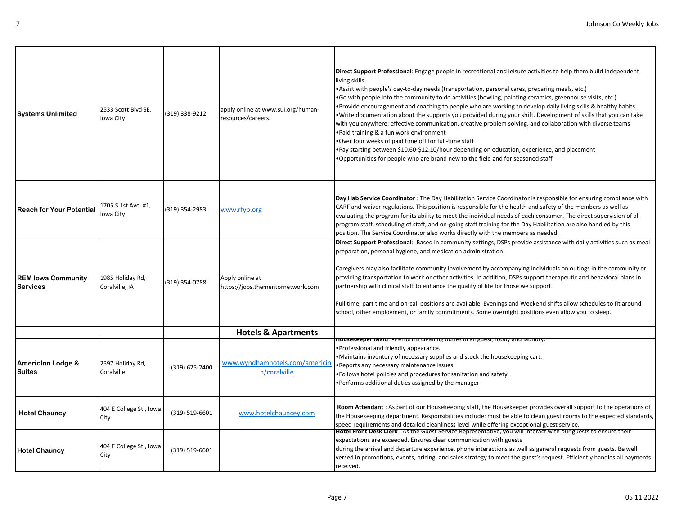| <b>Systems Unlimited</b>              | 2533 Scott Blvd SE,<br>Iowa City   | (319) 338-9212 | apply online at www.sui.org/human-<br>resources/careers. | Direct Support Professional: Engage people in recreational and leisure activities to help them build independent<br>living skills<br>•Assist with people's day-to-day needs (transportation, personal cares, preparing meals, etc.)<br>•Go with people into the community to do activities (bowling, painting ceramics, greenhouse visits, etc.)<br>•Provide encouragement and coaching to people who are working to develop daily living skills & healthy habits<br>. Write documentation about the supports you provided during your shift. Development of skills that you can take<br>with you anywhere: effective communication, creative problem solving, and collaboration with diverse teams<br>.Paid training & a fun work environment<br>.Over four weeks of paid time off for full-time staff<br>•Pay starting between \$10.60-\$12.10/hour depending on education, experience, and placement<br>•Opportunities for people who are brand new to the field and for seasoned staff |
|---------------------------------------|------------------------------------|----------------|----------------------------------------------------------|--------------------------------------------------------------------------------------------------------------------------------------------------------------------------------------------------------------------------------------------------------------------------------------------------------------------------------------------------------------------------------------------------------------------------------------------------------------------------------------------------------------------------------------------------------------------------------------------------------------------------------------------------------------------------------------------------------------------------------------------------------------------------------------------------------------------------------------------------------------------------------------------------------------------------------------------------------------------------------------------|
| <b>Reach for Your Potential</b>       | 1705 S 1st Ave. #1,<br>Iowa City   | (319) 354-2983 | www.rfyp.org                                             | Day Hab Service Coordinator : The Day Habilitation Service Coordinator is responsible for ensuring compliance with<br>CARF and waiver regulations. This position is responsible for the health and safety of the members as well as<br>evaluating the program for its ability to meet the individual needs of each consumer. The direct supervision of all<br>program staff, scheduling of staff, and on-going staff training for the Day Habilitation are also handled by this<br>position. The Service Coordinator also works directly with the members as needed.                                                                                                                                                                                                                                                                                                                                                                                                                       |
| <b>REM Iowa Community</b><br>Services | 1985 Holiday Rd,<br>Coralville, IA | (319) 354-0788 | Apply online at<br>https://jobs.thementornetwork.com     | Direct Support Professional: Based in community settings, DSPs provide assistance with daily activities such as meal<br>preparation, personal hygiene, and medication administration.<br>Caregivers may also facilitate community involvement by accompanying individuals on outings in the community or<br>providing transportation to work or other activities. In addition, DSPs support therapeutic and behavioral plans in<br>partnership with clinical staff to enhance the quality of life for those we support.<br>Full time, part time and on-call positions are available. Evenings and Weekend shifts allow schedules to fit around<br>school, other employment, or family commitments. Some overnight positions even allow you to sleep.                                                                                                                                                                                                                                       |
|                                       |                                    |                | <b>Hotels &amp; Apartments</b>                           |                                                                                                                                                                                                                                                                                                                                                                                                                                                                                                                                                                                                                                                                                                                                                                                                                                                                                                                                                                                            |
| AmericInn Lodge &<br>Suites           | 2597 Holiday Rd,<br>Coralville     | (319) 625-2400 | www.wyndhamhotels.com/americin<br>n/coralville           | <b>HOUSEREEDEL Maid: •</b> Performs cleaning duties in all guest, lobby and laundry<br>. Professional and friendly appearance.<br>. Maintains inventory of necessary supplies and stock the housekeeping cart.<br>. Reports any necessary maintenance issues.<br>•Follows hotel policies and procedures for sanitation and safety.<br>•Performs additional duties assigned by the manager                                                                                                                                                                                                                                                                                                                                                                                                                                                                                                                                                                                                  |
| <b>Hotel Chauncy</b>                  | 404 E College St., Iowa<br>City    | (319) 519-6601 | www.hotelchauncey.com                                    | Room Attendant: As part of our Housekeeping staff, the Housekeeper provides overall support to the operations of<br>the Housekeeping department. Responsibilities include: must be able to clean guest rooms to the expected standards,<br>speed requirements and detailed cleanliness level while offering exceptional guest service.                                                                                                                                                                                                                                                                                                                                                                                                                                                                                                                                                                                                                                                     |
| <b>Hotel Chauncy</b>                  | 404 E College St., Iowa<br>City    | (319) 519-6601 |                                                          | Hotel Front Desk Clerk : As the Guest Service Representative, you will interact with our guests to ensure their<br>expectations are exceeded. Ensures clear communication with guests<br>during the arrival and departure experience, phone interactions as well as general requests from guests. Be well<br>versed in promotions, events, pricing, and sales strategy to meet the guest's request. Efficiently handles all payments<br>received.                                                                                                                                                                                                                                                                                                                                                                                                                                                                                                                                          |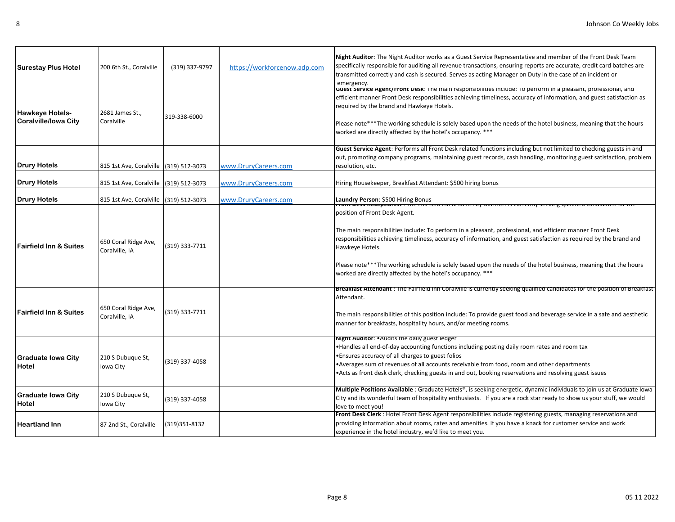| <b>Surestay Plus Hotel</b>                            | 200 6th St., Coralville                | (319) 337-9797 | https://workforcenow.adp.com | Night Auditor: The Night Auditor works as a Guest Service Representative and member of the Front Desk Team<br>specifically responsible for auditing all revenue transactions, ensuring reports are accurate, credit card batches are<br>transmitted correctly and cash is secured. Serves as acting Manager on Duty in the case of an incident or<br>emergency.                                                                                                                  |
|-------------------------------------------------------|----------------------------------------|----------------|------------------------------|----------------------------------------------------------------------------------------------------------------------------------------------------------------------------------------------------------------------------------------------------------------------------------------------------------------------------------------------------------------------------------------------------------------------------------------------------------------------------------|
| <b>Hawkeye Hotels-</b><br><b>Coralville/lowa City</b> | 2681 James St.,<br>Coralville          | 319-338-6000   |                              | <del>ouest service Agent/Front Desk: דוופ והמודו esponsionities include: דום perioritie agent/Front periorities and</del><br>efficient manner Front Desk responsibilities achieving timeliness, accuracy of information, and guest satisfaction as<br>required by the brand and Hawkeye Hotels.<br>Please note***The working schedule is solely based upon the needs of the hotel business, meaning that the hours<br>worked are directly affected by the hotel's occupancy. *** |
| <b>Drury Hotels</b>                                   | 815 1st Ave, Coralville (319) 512-3073 |                | www.DruryCareers.com         | Guest Service Agent: Performs all Front Desk related functions including but not limited to checking guests in and<br>out, promoting company programs, maintaining guest records, cash handling, monitoring guest satisfaction, problem<br>resolution, etc.                                                                                                                                                                                                                      |
| <b>Drury Hotels</b>                                   | 815 1st Ave, Coralville (319) 512-3073 |                | www.DruryCareers.com         | Hiring Housekeeper, Breakfast Attendant: \$500 hiring bonus                                                                                                                                                                                                                                                                                                                                                                                                                      |
| <b>Drury Hotels</b>                                   | 815 1st Ave, Coralville                | (319) 512-3073 | www.DruryCareers.com         | Laundry Person: \$500 Hiring Bonus<br>muu mm oo Jurus iyo                                                                                                                                                                                                                                                                                                                                                                                                                        |
| <b>Fairfield Inn &amp; Suites</b>                     | 650 Coral Ridge Ave,<br>Coralville, IA | (319) 333-7711 |                              | position of Front Desk Agent.<br>The main responsibilities include: To perform in a pleasant, professional, and efficient manner Front Desk<br>responsibilities achieving timeliness, accuracy of information, and guest satisfaction as required by the brand and<br>Hawkeye Hotels.<br>Please note***The working schedule is solely based upon the needs of the hotel business, meaning that the hours<br>worked are directly affected by the hotel's occupancy. ***           |
| <b>Fairfield Inn &amp; Suites</b>                     | 650 Coral Ridge Ave,<br>Coralville, IA | (319) 333-7711 |                              | <b>Breakfast Attendant</b> : The Fairfield inn Coraiville is currently seeking qualified candidates for the position of Breakfast<br>Attendant.<br>The main responsibilities of this position include: To provide guest food and beverage service in a safe and aesthetic<br>manner for breakfasts, hospitality hours, and/or meeting rooms.                                                                                                                                     |
| <b>Graduate Iowa City</b><br>Hotel                    | 210 S Dubuque St,<br>Iowa City         | (319) 337-4058 |                              | Night Auditor: • Audits the daily guest ledger<br>•Handles all end-of-day accounting functions including posting daily room rates and room tax<br>. Ensures accuracy of all charges to guest folios<br>•Averages sum of revenues of all accounts receivable from food, room and other departments<br>. Acts as front desk clerk, checking guests in and out, booking reservations and resolving guest issues                                                                     |
| <b>Graduate Iowa City</b><br>Hotel                    | 210 S Dubuque St,<br>Iowa City         | (319) 337-4058 |                              | Multiple Positions Available : Graduate Hotels <sup>®</sup> , is seeking energetic, dynamic individuals to join us at Graduate Iowa<br>City and its wonderful team of hospitality enthusiasts. If you are a rock star ready to show us your stuff, we would<br>love to meet you!                                                                                                                                                                                                 |
| <b>Heartland Inn</b>                                  | 87 2nd St., Coralville                 | (319) 351-8132 |                              | Front Desk Clerk : Hotel Front Desk Agent responsibilities include registering guests, managing reservations and<br>providing information about rooms, rates and amenities. If you have a knack for customer service and work<br>experience in the hotel industry, we'd like to meet you.                                                                                                                                                                                        |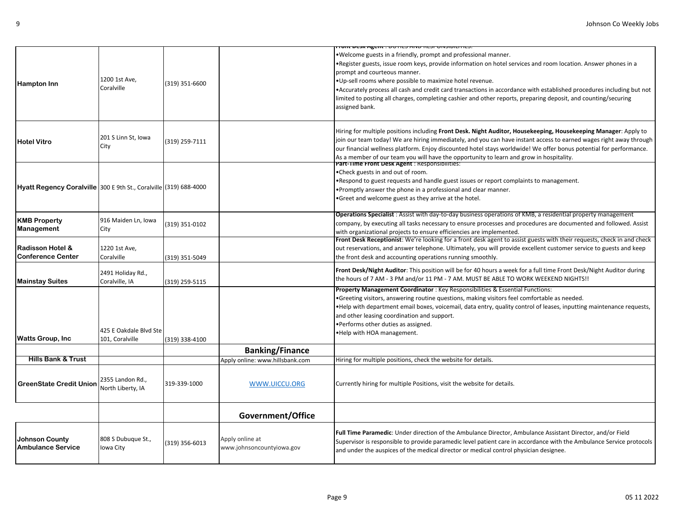|                                                                   |                                           |                |                                              | <u> החוליוט וכמה מוא כמורט הוקר מכסט ווסף</u>                                                                                                                                                                                                                                                                                                                                                                                                                                                                                              |
|-------------------------------------------------------------------|-------------------------------------------|----------------|----------------------------------------------|--------------------------------------------------------------------------------------------------------------------------------------------------------------------------------------------------------------------------------------------------------------------------------------------------------------------------------------------------------------------------------------------------------------------------------------------------------------------------------------------------------------------------------------------|
| <b>Hampton Inn</b>                                                | 1200 1st Ave,<br>Coralville               | (319) 351-6600 |                                              | . Welcome guests in a friendly, prompt and professional manner.<br>•Register guests, issue room keys, provide information on hotel services and room location. Answer phones in a<br>prompt and courteous manner.<br>.Up-sell rooms where possible to maximize hotel revenue.<br>•Accurately process all cash and credit card transactions in accordance with established procedures including but not<br>limited to posting all charges, completing cashier and other reports, preparing deposit, and counting/securing<br>assigned bank. |
| <b>Hotel Vitro</b>                                                | 201 S Linn St, Iowa<br>City               | (319) 259-7111 |                                              | Hiring for multiple positions including Front Desk. Night Auditor, Housekeeping, Housekeeping Manager: Apply to<br>join our team today! We are hiring immediately, and you can have instant access to earned wages right away through<br>our financial wellness platform. Enjoy discounted hotel stays worldwide! We offer bonus potential for performance.<br>As a member of our team you will have the opportunity to learn and grow in hospitality.                                                                                     |
| Hyatt Regency Coralville 300 E 9th St., Coralville (319) 688-4000 |                                           |                |                                              | <b>Part-Time Front Desk Agent: Responsibilities:</b><br>.Check guests in and out of room.<br>. Respond to guest requests and handle guest issues or report complaints to management.<br>•Promptly answer the phone in a professional and clear manner.<br>•Greet and welcome guest as they arrive at the hotel.                                                                                                                                                                                                                            |
| <b>KMB Property</b><br>Management                                 | 916 Maiden Ln, Iowa<br>City               | 319) 351-0102  |                                              | <b>Operations Specialist</b> : Assist with day-to-day business operations of KMB, a residential property management<br>company, by executing all tasks necessary to ensure processes and procedures are documented and followed. Assist<br>with organizational projects to ensure efficiencies are implemented.                                                                                                                                                                                                                            |
| <b>Radisson Hotel &amp;</b><br><b>Conference Center</b>           | 1220 1st Ave,<br>Coralville               | (319) 351-5049 |                                              | Front Desk Receptionist: We're looking for a front desk agent to assist guests with their requests, check in and check<br>out reservations, and answer telephone. Ultimately, you will provide excellent customer service to guests and keep<br>the front desk and accounting operations running smoothly.                                                                                                                                                                                                                                 |
| <b>Mainstay Suites</b>                                            | 2491 Holiday Rd.,<br>Coralville, IA       | (319) 259-5115 |                                              | Front Desk/Night Auditor: This position will be for 40 hours a week for a full time Front Desk/Night Auditor during<br>the hours of 7 AM - 3 PM and/or 11 PM - 7 AM. MUST BE ABLE TO WORK WEEKEND NIGHTS!!                                                                                                                                                                                                                                                                                                                                 |
| <b>Watts Group, Inc.</b>                                          | 425 E Oakdale Blvd Ste<br>101, Coralville | (319) 338-4100 |                                              | Property Management Coordinator : Key Responsibilities & Essential Functions:<br>•Greeting visitors, answering routine questions, making visitors feel comfortable as needed.<br>. Help with department email boxes, voicemail, data entry, quality control of leases, inputting maintenance requests,<br>and other leasing coordination and support.<br>. Performs other duties as assigned.<br>.Help with HOA management.                                                                                                                |
|                                                                   |                                           |                | <b>Banking/Finance</b>                       |                                                                                                                                                                                                                                                                                                                                                                                                                                                                                                                                            |
| <b>Hills Bank &amp; Trust</b>                                     |                                           |                | Apply online: www.hillsbank.com              | Hiring for multiple positions, check the website for details.                                                                                                                                                                                                                                                                                                                                                                                                                                                                              |
| <b>GreenState Credit Union</b>                                    | 2355 Landon Rd.,<br>North Liberty, IA     | 319-339-1000   | WWW.UICCU.ORG                                | Currently hiring for multiple Positions, visit the website for details.                                                                                                                                                                                                                                                                                                                                                                                                                                                                    |
|                                                                   |                                           |                | Government/Office                            |                                                                                                                                                                                                                                                                                                                                                                                                                                                                                                                                            |
| <b>Johnson County</b><br><b>Ambulance Service</b>                 | 808 S Dubuque St.,<br>Iowa City           | (319) 356-6013 | Apply online at<br>www.johnsoncountyiowa.gov | Full Time Paramedic: Under direction of the Ambulance Director, Ambulance Assistant Director, and/or Field<br>Supervisor is responsible to provide paramedic level patient care in accordance with the Ambulance Service protocols<br>and under the auspices of the medical director or medical control physician designee.                                                                                                                                                                                                                |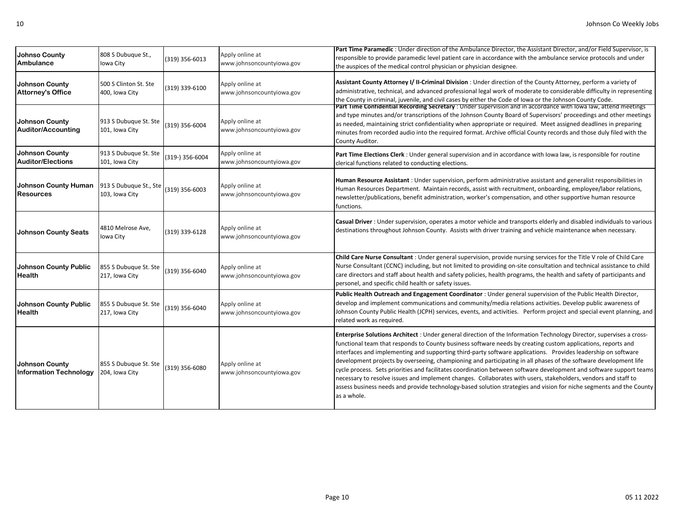| <b>Johnso County</b><br>Ambulance                      | 808 S Dubuque St.,<br>Iowa City          | (319) 356-6013  | Apply online at<br>www.johnsoncountyiowa.gov | Part Time Paramedic: Under direction of the Ambulance Director, the Assistant Director, and/or Field Supervisor, is<br>responsible to provide paramedic level patient care in accordance with the ambulance service protocols and under<br>the auspices of the medical control physician or physician designee.                                                                                                                                                                                                                                                                                                                                                                                                                                                                                                                                          |
|--------------------------------------------------------|------------------------------------------|-----------------|----------------------------------------------|----------------------------------------------------------------------------------------------------------------------------------------------------------------------------------------------------------------------------------------------------------------------------------------------------------------------------------------------------------------------------------------------------------------------------------------------------------------------------------------------------------------------------------------------------------------------------------------------------------------------------------------------------------------------------------------------------------------------------------------------------------------------------------------------------------------------------------------------------------|
| Johnson County<br><b>Attorney's Office</b>             | 500 S Clinton St. Ste<br>400, Iowa City  | (319) 339-6100  | Apply online at<br>www.johnsoncountyiowa.gov | Assistant County Attorney I/ Il-Criminal Division : Under direction of the County Attorney, perform a variety of<br>administrative, technical, and advanced professional legal work of moderate to considerable difficulty in representing<br>the County in criminal, juvenile, and civil cases by either the Code of Iowa or the Johnson County Code.                                                                                                                                                                                                                                                                                                                                                                                                                                                                                                   |
| Johnson County<br><b>Auditor/Accounting</b>            | 913 S Dubuque St. Ste<br>101, Iowa City  | (319) 356-6004  | Apply online at<br>www.johnsoncountyiowa.gov | Part Time Confidential Recording Secretary: Under supervision and in accordance with lowa law, attend meetings<br>and type minutes and/or transcriptions of the Johnson County Board of Supervisors' proceedings and other meetings<br>as needed, maintaining strict confidentiality when appropriate or required. Meet assigned deadlines in preparing<br>minutes from recorded audio into the required format. Archive official County records and those duly filed with the<br>County Auditor.                                                                                                                                                                                                                                                                                                                                                        |
| Johnson County<br><b>Auditor/Elections</b>             | 913 S Dubuque St. Ste<br>101, Iowa City  | (319-) 356-6004 | Apply online at<br>www.johnsoncountyiowa.gov | Part Time Elections Clerk : Under general supervision and in accordance with lowa law, is responsible for routine<br>clerical functions related to conducting elections.                                                                                                                                                                                                                                                                                                                                                                                                                                                                                                                                                                                                                                                                                 |
| Johnson County Human<br><b>Resources</b>               | 913 S Dubuque St., Ste<br>103, Iowa City | (319) 356-6003  | Apply online at<br>www.johnsoncountyiowa.gov | Human Resource Assistant: Under supervision, perform administrative assistant and generalist responsibilities in<br>Human Resources Department. Maintain records, assist with recruitment, onboarding, employee/labor relations,<br>newsletter/publications, benefit administration, worker's compensation, and other supportive human resource<br>functions.                                                                                                                                                                                                                                                                                                                                                                                                                                                                                            |
| <b>Johnson County Seats</b>                            | 4810 Melrose Ave,<br>Iowa City           | (319) 339-6128  | Apply online at<br>www.johnsoncountyiowa.gov | Casual Driver : Under supervision, operates a motor vehicle and transports elderly and disabled individuals to various<br>destinations throughout Johnson County. Assists with driver training and vehicle maintenance when necessary.                                                                                                                                                                                                                                                                                                                                                                                                                                                                                                                                                                                                                   |
| <b>Johnson County Public</b><br>Health                 | 855 S Dubuque St. Ste<br>217, Iowa City  | (319) 356-6040  | Apply online at<br>www.johnsoncountyiowa.gov | Child Care Nurse Consultant : Under general supervision, provide nursing services for the Title V role of Child Care<br>Nurse Consultant (CCNC) including, but not limited to providing on-site consultation and technical assistance to child<br>care directors and staff about health and safety policies, health programs, the health and safety of participants and<br>personel, and specific child health or safety issues.                                                                                                                                                                                                                                                                                                                                                                                                                         |
| <b>Johnson County Public</b><br>Health                 | 855 S Dubuque St. Ste<br>217, Iowa City  | (319) 356-6040  | Apply online at<br>www.johnsoncountyiowa.gov | Public Health Outreach and Engagement Coordinator : Under general supervision of the Public Health Director,<br>develop and implement communications and community/media relations activities. Develop public awareness of<br>Johnson County Public Health (JCPH) services, events, and activities. Perform project and special event planning, and<br>related work as required.                                                                                                                                                                                                                                                                                                                                                                                                                                                                         |
| <b>Johnson County</b><br><b>Information Technology</b> | 855 S Dubuque St. Ste<br>204, Iowa City  | (319) 356-6080  | Apply online at<br>www.johnsoncountyiowa.gov | Enterprise Solutions Architect : Under general direction of the Information Technology Director, supervises a cross-<br>functional team that responds to County business software needs by creating custom applications, reports and<br>interfaces and implementing and supporting third-party software applications. Provides leadership on software<br>development projects by overseeing, championing and participating in all phases of the software development life<br>cycle process. Sets priorities and facilitates coordination between software development and software support teams<br>necessary to resolve issues and implement changes. Collaborates with users, stakeholders, vendors and staff to<br>assess business needs and provide technology-based solution strategies and vision for niche segments and the County<br>as a whole. |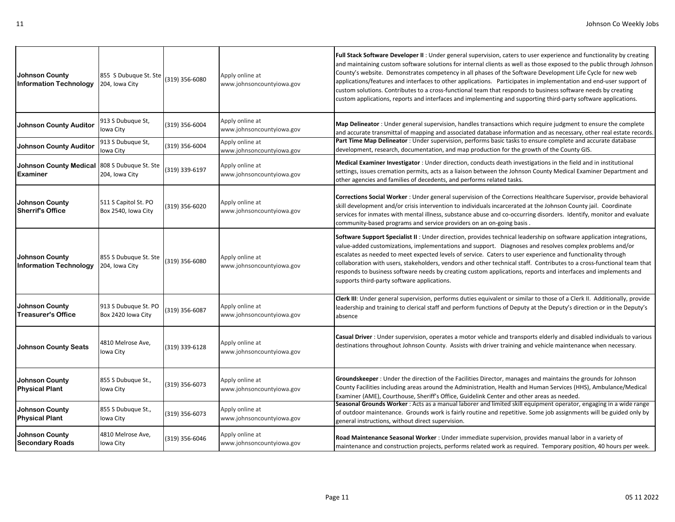| Johnson County<br><b>Information Technology</b>        | 855 S Dubuque St. Ste<br>204, Iowa City     | (319) 356-6080 | Apply online at<br>www.johnsoncountyiowa.gov | Full Stack Software Developer II: Under general supervision, caters to user experience and functionality by creating<br>and maintaining custom software solutions for internal clients as well as those exposed to the public through Johnson<br>County's website. Demonstrates competency in all phases of the Software Development Life Cycle for new web<br>applications/features and interfaces to other applications. Participates in implementation and end-user support of<br>custom solutions. Contributes to a cross-functional team that responds to business software needs by creating<br>custom applications, reports and interfaces and implementing and supporting third-party software applications. |
|--------------------------------------------------------|---------------------------------------------|----------------|----------------------------------------------|----------------------------------------------------------------------------------------------------------------------------------------------------------------------------------------------------------------------------------------------------------------------------------------------------------------------------------------------------------------------------------------------------------------------------------------------------------------------------------------------------------------------------------------------------------------------------------------------------------------------------------------------------------------------------------------------------------------------|
| <b>Johnson County Auditor</b>                          | 913 S Dubuque St,<br>Iowa City              | (319) 356-6004 | Apply online at<br>www.johnsoncountyiowa.gov | Map Delineator: Under general supervision, handles transactions which require judgment to ensure the complete<br>and accurate transmittal of mapping and associated database information and as necessary, other real estate records.                                                                                                                                                                                                                                                                                                                                                                                                                                                                                |
| <b>Johnson County Auditor</b>                          | 913 S Dubuque St,<br>Iowa City              | (319) 356-6004 | Apply online at<br>www.johnsoncountyiowa.gov | Part Time Map Delineator : Under supervision, performs basic tasks to ensure complete and accurate database<br>development, research, documentation, and map production for the growth of the County GIS.                                                                                                                                                                                                                                                                                                                                                                                                                                                                                                            |
| Johnson County Medical<br><b>Examiner</b>              | 808 S Dubuque St. Ste<br>204, Iowa City     | (319) 339-6197 | Apply online at<br>www.johnsoncountyiowa.gov | Medical Examiner Investigator: Under direction, conducts death investigations in the field and in institutional<br>settings, issues cremation permits, acts as a liaison between the Johnson County Medical Examiner Department and<br>other agencies and families of decedents, and performs related tasks.                                                                                                                                                                                                                                                                                                                                                                                                         |
| <b>Johnson County</b><br><b>Sherrif's Office</b>       | 511 S Capitol St. PO<br>Box 2540, Iowa City | (319) 356-6020 | Apply online at<br>www.johnsoncountyiowa.gov | Corrections Social Worker: Under general supervision of the Corrections Healthcare Supervisor, provide behavioral<br>skill development and/or crisis intervention to individuals incarcerated at the Johnson County jail. Coordinate<br>services for inmates with mental illness, substance abuse and co-occurring disorders. Identify, monitor and evaluate<br>community-based programs and service providers on an on-going basis.                                                                                                                                                                                                                                                                                 |
| <b>Johnson County</b><br><b>Information Technology</b> | 855 S Dubuque St. Ste<br>204, Iowa City     | (319) 356-6080 | Apply online at<br>www.johnsoncountyiowa.gov | Software Support Specialist II: Under direction, provides technical leadership on software application integrations,<br>value-added customizations, implementations and support. Diagnoses and resolves complex problems and/or<br>escalates as needed to meet expected levels of service. Caters to user experience and functionality through<br>collaboration with users, stakeholders, vendors and other technical staff. Contributes to a cross-functional team that<br>responds to business software needs by creating custom applications, reports and interfaces and implements and<br>supports third-party software applications.                                                                            |
| <b>Johnson County</b><br><b>Treasurer's Office</b>     | 913 S Dubuque St. PO<br>Box 2420 Iowa City  | (319) 356-6087 | Apply online at<br>www.johnsoncountyiowa.gov | Clerk III: Under general supervision, performs duties equivalent or similar to those of a Clerk II. Additionally, provide<br>leadership and training to clerical staff and perform functions of Deputy at the Deputy's direction or in the Deputy's<br>absence                                                                                                                                                                                                                                                                                                                                                                                                                                                       |
| <b>Johnson County Seats</b>                            | 4810 Melrose Ave,<br>Iowa City              | (319) 339-6128 | Apply online at<br>www.johnsoncountyiowa.gov | Casual Driver : Under supervision, operates a motor vehicle and transports elderly and disabled individuals to various<br>destinations throughout Johnson County. Assists with driver training and vehicle maintenance when necessary.                                                                                                                                                                                                                                                                                                                                                                                                                                                                               |
| <b>Johnson County</b><br><b>Physical Plant</b>         | 855 S Dubuque St.,<br>Iowa City             | (319) 356-6073 | Apply online at<br>www.johnsoncountyiowa.gov | Groundskeeper: Under the direction of the Facilities Director, manages and maintains the grounds for Johnson<br>County Facilities including areas around the Administration, Health and Human Services (HHS), Ambulance/Medical<br>Examiner (AME), Courthouse, Sheriff's Office, Guidelink Center and other areas as needed.                                                                                                                                                                                                                                                                                                                                                                                         |
| Johnson County<br><b>Physical Plant</b>                | 855 S Dubuque St.,<br>lowa City             | (319) 356-6073 | Apply online at<br>www.johnsoncountyiowa.gov | Seasonal Grounds Worker : Acts as a manual laborer and limited skill equipment operator, engaging in a wide range<br>of outdoor maintenance. Grounds work is fairly routine and repetitive. Some job assignments will be guided only by<br>general instructions, without direct supervision.                                                                                                                                                                                                                                                                                                                                                                                                                         |
| <b>Johnson County</b><br><b>Secondary Roads</b>        | 4810 Melrose Ave,<br>lowa City              | (319) 356-6046 | Apply online at<br>www.johnsoncountyiowa.gov | Road Maintenance Seasonal Worker : Under immediate supervision, provides manual labor in a variety of<br>maintenance and construction projects, performs related work as required. Temporary position, 40 hours per week.                                                                                                                                                                                                                                                                                                                                                                                                                                                                                            |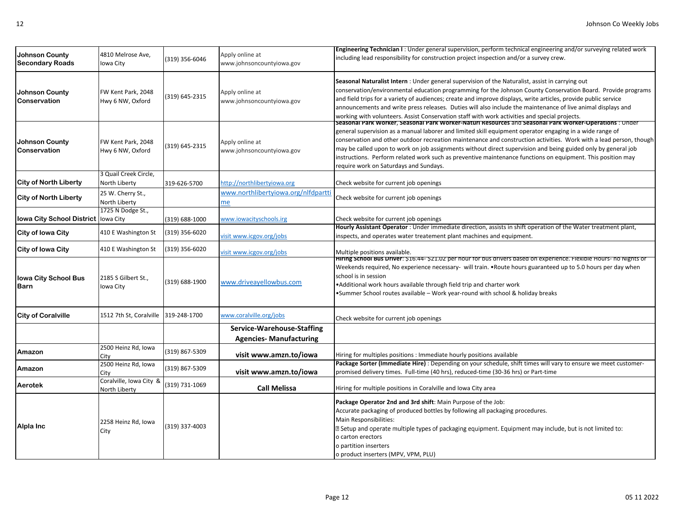| <b>Johnson County</b><br><b>Secondary Roads</b> | 4810 Melrose Ave,<br>lowa City           | (319) 356-6046 | Apply online at<br>www.johnsoncountyiowa.gov                 | Engineering Technician I: Under general supervision, perform technical engineering and/or surveying related work<br>including lead responsibility for construction project inspection and/or a survey crew.                                                                                                                                                                                                                                                                                                                                                                                                         |
|-------------------------------------------------|------------------------------------------|----------------|--------------------------------------------------------------|---------------------------------------------------------------------------------------------------------------------------------------------------------------------------------------------------------------------------------------------------------------------------------------------------------------------------------------------------------------------------------------------------------------------------------------------------------------------------------------------------------------------------------------------------------------------------------------------------------------------|
| <b>Johnson County</b><br>Conservation           | FW Kent Park, 2048<br>Hwy 6 NW, Oxford   | (319) 645-2315 | Apply online at<br>www.johnsoncountyiowa.gov                 | Seasonal Naturalist Intern: Under general supervision of the Naturalist, assist in carrying out<br>conservation/environmental education programming for the Johnson County Conservation Board. Provide programs<br>and field trips for a variety of audiences; create and improve displays, write articles, provide public service<br>announcements and write press releases. Duties will also include the maintenance of live animal displays and<br>working with volunteers. Assist Conservation staff with work activities and special projects.                                                                 |
| Johnson County<br>Conservation                  | FW Kent Park, 2048<br>Hwy 6 NW, Oxford   | (319) 645-2315 | Apply online at<br>www.johnsoncountyiowa.gov                 | Seasonal Park Worker, Seasonal Park Worker-Naturi Resources and Seasonal Park Worker-Operations : Under<br>general supervision as a manual laborer and limited skill equipment operator engaging in a wide range of<br>conservation and other outdoor recreation maintenance and construction activities. Work with a lead person, though<br>may be called upon to work on job assignments without direct supervision and being guided only by general job<br>instructions. Perform related work such as preventive maintenance functions on equipment. This position may<br>require work on Saturdays and Sundays. |
| <b>City of North Liberty</b>                    | 3 Quail Creek Circle,<br>North Liberty   | 319-626-5700   | http://northlibertyiowa.org                                  | Check website for current job openings                                                                                                                                                                                                                                                                                                                                                                                                                                                                                                                                                                              |
| <b>City of North Liberty</b>                    | 25 W. Cherry St.,<br>North Liberty       |                | www.northlibertyiowa.org/nlfdpartti<br>me                    | Check website for current job openings                                                                                                                                                                                                                                                                                                                                                                                                                                                                                                                                                                              |
| <b>Iowa City School District</b>                | 1725 N Dodge St.,<br>Iowa City           | (319) 688-1000 | www.iowacityschools.irg                                      | Check website for current job openings                                                                                                                                                                                                                                                                                                                                                                                                                                                                                                                                                                              |
| City of Iowa City                               | 410 E Washington St                      | (319) 356-6020 | visit www.icgov.org/jobs                                     | Hourly Assistant Operator: Under immediate direction, assists in shift operation of the Water treatment plant,<br>inspects, and operates water treatement plant machines and equipment.                                                                                                                                                                                                                                                                                                                                                                                                                             |
| <b>City of Iowa City</b>                        | 410 E Washington St                      | (319) 356-6020 | visit www.icgov.org/jobs                                     | Multiple positions available.                                                                                                                                                                                                                                                                                                                                                                                                                                                                                                                                                                                       |
| <b>Iowa City School Bus</b><br>Barn             | 2185 S Gilbert St.,<br>Iowa City         | (319) 688-1900 | www.driveayellowbus.com                                      | Hiring School Bus Driver: \$16.44- \$21.02 per hour for bus arivers based on experience. Flexible Hours- no Nights or<br>Weekends required, No experience necessary- will train. •Route hours guaranteed up to 5.0 hours per day when<br>school is in session<br>.Additional work hours available through field trip and charter work<br>•Summer School routes available - Work year-round with school & holiday breaks                                                                                                                                                                                             |
| <b>City of Coralville</b>                       | 1512 7th St, Coralville                  | 319-248-1700   | www.coralville.org/jobs                                      | Check website for current job openings                                                                                                                                                                                                                                                                                                                                                                                                                                                                                                                                                                              |
|                                                 |                                          |                | Service-Warehouse-Staffing<br><b>Agencies- Manufacturing</b> |                                                                                                                                                                                                                                                                                                                                                                                                                                                                                                                                                                                                                     |
| Amazon                                          | 2500 Heinz Rd, Iowa<br>City              | (319) 867-5309 | visit www.amzn.to/iowa                                       | Hiring for multiples positions : Immediate hourly positions available                                                                                                                                                                                                                                                                                                                                                                                                                                                                                                                                               |
| Amazon                                          | 2500 Heinz Rd, Iowa<br>Citv              | (319) 867-5309 | visit www.amzn.to/iowa                                       | Package Sorter (Immediate Hire) : Depending on your schedule, shift times will vary to ensure we meet customer-<br>promised delivery times. Full-time (40 hrs), reduced-time (30-36 hrs) or Part-time                                                                                                                                                                                                                                                                                                                                                                                                               |
| Aerotek                                         | Coralville, Iowa City &<br>North Liberty | (319) 731-1069 | <b>Call Melissa</b>                                          | Hiring for multiple positions in Coralville and Iowa City area                                                                                                                                                                                                                                                                                                                                                                                                                                                                                                                                                      |
| Alpla Inc                                       | 2258 Heinz Rd, Iowa<br>City              | (319) 337-4003 |                                                              | Package Operator 2nd and 3rd shift: Main Purpose of the Job:<br>Accurate packaging of produced bottles by following all packaging procedures.<br>Main Responsibilities:<br>D Setup and operate multiple types of packaging equipment. Equipment may include, but is not limited to:<br>o carton erectors<br>o partition inserters<br>o product inserters (MPV, VPM, PLU)                                                                                                                                                                                                                                            |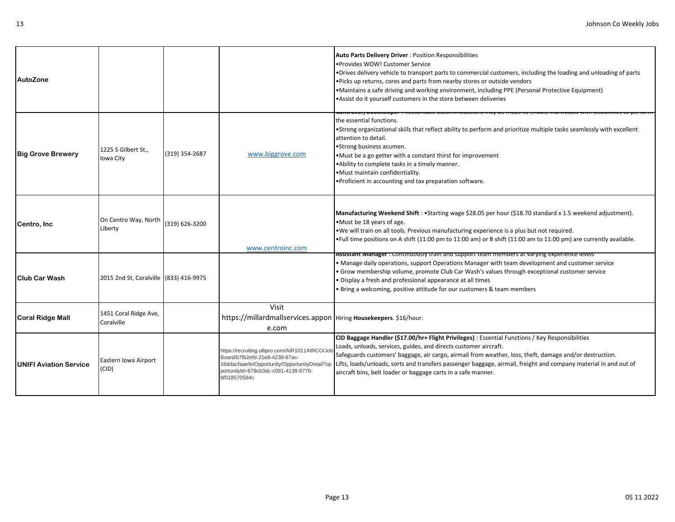| AutoZone                 |                                        |                |                                                                                                                                           | <b>Auto Parts Delivery Driver: Position Responsibilities</b><br>•Provides WOW! Customer Service<br>. Drives delivery vehicle to transport parts to commercial customers, including the loading and unloading of parts<br>. Picks up returns, cores and parts from nearby stores or outside vendors<br>•Maintains a safe driving and working environment, including PPE (Personal Protective Equipment)<br>. Assist do it yourself customers in the store between deliveries                                         |
|--------------------------|----------------------------------------|----------------|-------------------------------------------------------------------------------------------------------------------------------------------|---------------------------------------------------------------------------------------------------------------------------------------------------------------------------------------------------------------------------------------------------------------------------------------------------------------------------------------------------------------------------------------------------------------------------------------------------------------------------------------------------------------------|
| <b>Big Grove Brewery</b> | 1225 S Gilbert St<br>Iowa City         | (319) 354-2687 | www.biggrove.com                                                                                                                          | the essential functions.<br>•Strong organizational skills that reflect ability to perform and prioritize multiple tasks seamlessly with excellent<br>attention to detail.<br>•Strong business acumen.<br>•Must be a go getter with a constant thirst for improvement<br>.Ability to complete tasks in a timely manner.<br>.Must maintain confidentiality.<br>. Proficient in accounting and tax preparation software.                                                                                               |
| Centro, Inc.             | On Centro Way, North<br>Liberty        | (319) 626-3200 | www.centroinc.com                                                                                                                         | Manufacturing Weekend Shift: • Starting wage \$28.05 per hour (\$18.70 standard x 1.5 weekend adjustment).<br>•Must be 18 years of age.<br>. We will train on all tools. Previous manufacturing experience is a plus but not required.<br>•Full time positions on A shift (11:00 pm to 11:00 am) or B shift (11:00 am to 11:00 pm) are currently available.                                                                                                                                                         |
| <b>Club Car Wash</b>     | 2015 2nd St, Coralville (833) 416-9975 |                |                                                                                                                                           | Assistant Manager : Continuously train and support team members at varying experience levels<br>• Manage daily operations, support Operations Manager with team development and customer service<br>· Grow membership volume, promote Club Car Wash's values through exceptional customer service<br>· Display a fresh and professional appearance at all times<br>. Bring a welcoming, positive attitude for our customers & team members                                                                          |
| <b>Coral Ridge Mall</b>  | 1451 Coral Ridge Ave,<br>Coralville    |                | Visit<br>https://millardmallservices.appon   Hiring Housekeepers. \$16/hour:<br>e.com                                                     |                                                                                                                                                                                                                                                                                                                                                                                                                                                                                                                     |
| UNIFI Aviation Service   | Eastern Iowa Airport<br>(CID)          |                | https://recruiting.ultipro.com/AIR1011AIRCO/Job<br>Board/b7fb2efd-21e8-4238-87ac-<br>portunityId=679cb3dc-c091-4138-8776-<br>bf018570584c | CID Baggage Handler (\$17.00/hr+ Flight Privileges) : Essential Functions / Key Responsibilities<br>Loads, unloads, services, guides, and directs customer aircraft.<br>Safeguards customers' baggage, air cargo, airmail from weather, loss, theft, damage and/or destruction.<br>16ddacfaaefe/Opportunity/OpportunityDetail?op LLifts, loads/unloads, sorts and transfers passenger baggage, airmail, freight and company material in and out of<br>aircraft bins, belt loader or baggage carts in a safe manner. |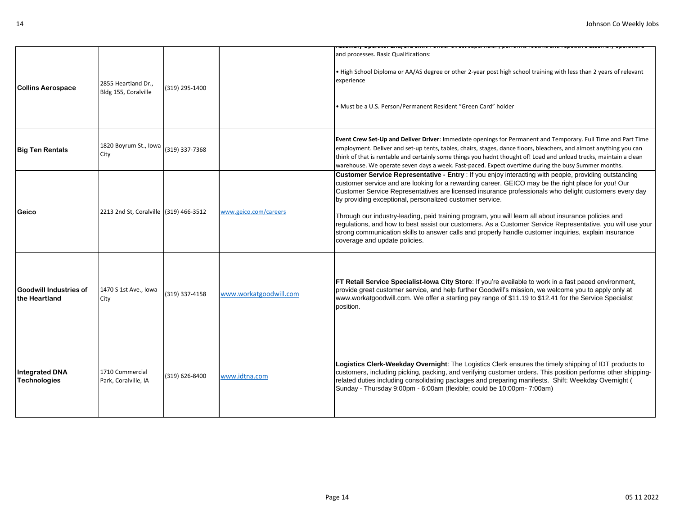|                                                |                                             |                |                        | סטרוואוץ סאָכומנטר בווען סוע סווווני. סוועכו מורכנג פעוטרויוסוטוון אָכורטווווס רטענוווכ מווע רכאָכנונויכ מספר                                                                                                                                                                                                                                                                                                                                                                                                                                                                                                                                                                                                                                    |
|------------------------------------------------|---------------------------------------------|----------------|------------------------|--------------------------------------------------------------------------------------------------------------------------------------------------------------------------------------------------------------------------------------------------------------------------------------------------------------------------------------------------------------------------------------------------------------------------------------------------------------------------------------------------------------------------------------------------------------------------------------------------------------------------------------------------------------------------------------------------------------------------------------------------|
| <b>Collins Aerospace</b>                       | 2855 Heartland Dr.,<br>Bldg 155, Coralville | (319) 295-1400 |                        | and processes. Basic Qualifications:<br>. High School Diploma or AA/AS degree or other 2-year post high school training with less than 2 years of relevant<br>experience<br>· Must be a U.S. Person/Permanent Resident "Green Card" holder                                                                                                                                                                                                                                                                                                                                                                                                                                                                                                       |
| <b>Big Ten Rentals</b>                         | 1820 Boyrum St., Iowa<br>City               | (319) 337-7368 |                        | Event Crew Set-Up and Deliver Driver: Immediate openings for Permanent and Temporary. Full Time and Part Time<br>employment. Deliver and set-up tents, tables, chairs, stages, dance floors, bleachers, and almost anything you can<br>think of that is rentable and certainly some things you hadnt thought of! Load and unload trucks, maintain a clean<br>warehouse. We operate seven days a week. Fast-paced. Expect overtime during the busy Summer months.                                                                                                                                                                                                                                                                                 |
| Geico                                          | 2213 2nd St, Coralville (319) 466-3512      |                | www.geico.com/careers  | Customer Service Representative - Entry : If you enjoy interacting with people, providing outstanding<br>customer service and are looking for a rewarding career, GEICO may be the right place for you! Our<br>Customer Service Representatives are licensed insurance professionals who delight customers every day<br>by providing exceptional, personalized customer service.<br>Through our industry-leading, paid training program, you will learn all about insurance policies and<br>regulations, and how to best assist our customers. As a Customer Service Representative, you will use your<br>strong communication skills to answer calls and properly handle customer inquiries, explain insurance<br>coverage and update policies. |
| <b>Goodwill Industries of</b><br>the Heartland | 1470 S 1st Ave., lowa<br>City               | (319) 337-4158 | www.workatgoodwill.com | FT Retail Service Specialist-lowa City Store: If you're available to work in a fast paced environment,<br>provide great customer service, and help further Goodwill's mission, we welcome you to apply only at<br>www.workatgoodwill.com. We offer a starting pay range of \$11.19 to \$12.41 for the Service Specialist<br>position.                                                                                                                                                                                                                                                                                                                                                                                                            |
| <b>Integrated DNA</b><br>Technologies          | 1710 Commercial<br>Park, Coralville, IA     | (319) 626-8400 | www.idtna.com          | Logistics Clerk-Weekday Overnight: The Logistics Clerk ensures the timely shipping of IDT products to<br>customers, including picking, packing, and verifying customer orders. This position performs other shipping-<br>related duties including consolidating packages and preparing manifests. Shift: Weekday Overnight (<br>Sunday - Thursday 9:00pm - 6:00am (flexible; could be 10:00pm- 7:00am)                                                                                                                                                                                                                                                                                                                                           |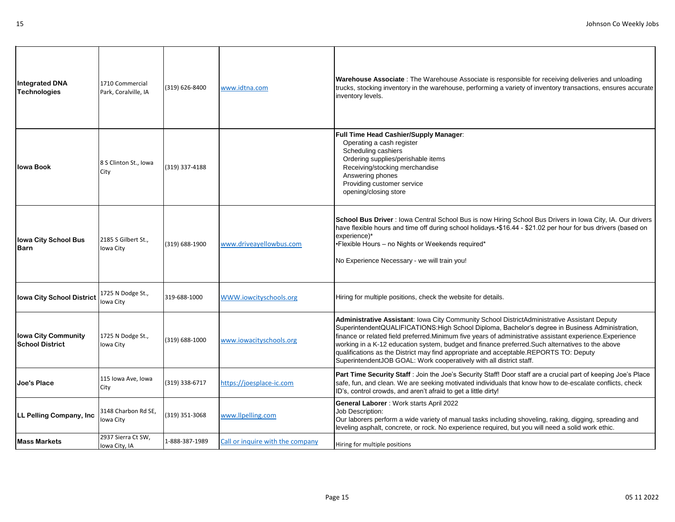| <b>Integrated DNA</b><br><b>Technologies</b>         | 1710 Commercial<br>Park, Coralville, IA | (319) 626-8400 | www.idtna.com                    | Warehouse Associate : The Warehouse Associate is responsible for receiving deliveries and unloading<br>trucks, stocking inventory in the warehouse, performing a variety of inventory transactions, ensures accurate<br>inventory levels.                                                                                                                                                                                                                                                                                                                                        |
|------------------------------------------------------|-----------------------------------------|----------------|----------------------------------|----------------------------------------------------------------------------------------------------------------------------------------------------------------------------------------------------------------------------------------------------------------------------------------------------------------------------------------------------------------------------------------------------------------------------------------------------------------------------------------------------------------------------------------------------------------------------------|
| Iowa Book                                            | 8 S Clinton St., Iowa<br>City           | (319) 337-4188 |                                  | <b>Full Time Head Cashier/Supply Manager:</b><br>Operating a cash register<br>Scheduling cashiers<br>Ordering supplies/perishable items<br>Receiving/stocking merchandise<br>Answering phones<br>Providing customer service<br>opening/closing store                                                                                                                                                                                                                                                                                                                             |
| <b>Iowa City School Bus</b><br>Barn                  | 2185 S Gilbert St.,<br>Iowa City        | (319) 688-1900 | www.driveayellowbus.com          | School Bus Driver : lowa Central School Bus is now Hiring School Bus Drivers in lowa City, IA. Our drivers<br>have flexible hours and time off during school holidays. \$16.44 - \$21.02 per hour for bus drivers (based on<br>experience)*<br>•Flexible Hours - no Nights or Weekends required*<br>No Experience Necessary - we will train you!                                                                                                                                                                                                                                 |
| <b>Iowa City School District</b>                     | 1725 N Dodge St.,<br>Iowa City          | 319-688-1000   | WWW.iowcityschools.org           | Hiring for multiple positions, check the website for details.                                                                                                                                                                                                                                                                                                                                                                                                                                                                                                                    |
| <b>Iowa City Community</b><br><b>School District</b> | 1725 N Dodge St.,<br>Iowa City          | (319) 688-1000 | www.iowacityschools.org          | Administrative Assistant: Iowa City Community School DistrictAdministrative Assistant Deputy<br>SuperintendentQUALIFICATIONS:High School Diploma, Bachelor's degree in Business Administration,<br>finance or related field preferred. Minimum five years of administrative assistant experience. Experience<br>working in a K-12 education system, budget and finance preferred. Such alternatives to the above<br>qualifications as the District may find appropriate and acceptable.REPORTS TO: Deputy<br>SuperintendentJOB GOAL: Work cooperatively with all district staff. |
| Joe's Place                                          | 115 Iowa Ave, Iowa<br>City              | (319) 338-6717 | https://joesplace-ic.com         | Part Time Security Staff : Join the Joe's Security Staff! Door staff are a crucial part of keeping Joe's Place<br>safe, fun, and clean. We are seeking motivated individuals that know how to de-escalate conflicts, check<br>ID's, control crowds, and aren't afraid to get a little dirty!                                                                                                                                                                                                                                                                                     |
| LL Pelling Company, Inc                              | 3148 Charbon Rd SE,<br>Iowa City        | (319) 351-3068 | www.llpelling.com                | <b>General Laborer</b> : Work starts April 2022<br>Job Description:<br>Our laborers perform a wide variety of manual tasks including shoveling, raking, digging, spreading and<br>leveling asphalt, concrete, or rock. No experience required, but you will need a solid work ethic.                                                                                                                                                                                                                                                                                             |
| Mass Markets                                         | 2937 Sierra Ct SW.<br>Iowa City, IA     | 1-888-387-1989 | Call or inquire with the company | Hiring for multiple positions                                                                                                                                                                                                                                                                                                                                                                                                                                                                                                                                                    |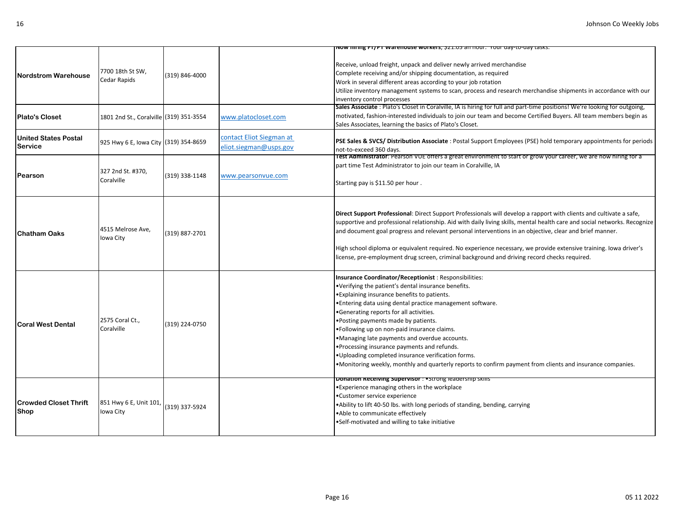|                                                     |                                                                             |                |                                                    | <u>Now hiring FT/PT warehouse workers, 521.05 an nour.  Your day-to-day tasks:</u>                                                                                                                                                                                                                                                                                                                                                                                                                                                                                                                                                                                       |
|-----------------------------------------------------|-----------------------------------------------------------------------------|----------------|----------------------------------------------------|--------------------------------------------------------------------------------------------------------------------------------------------------------------------------------------------------------------------------------------------------------------------------------------------------------------------------------------------------------------------------------------------------------------------------------------------------------------------------------------------------------------------------------------------------------------------------------------------------------------------------------------------------------------------------|
| <b>Nordstrom Warehouse</b><br><b>Plato's Closet</b> | 7700 18th St SW,<br>Cedar Rapids<br>1801 2nd St., Coralville (319) 351-3554 | (319) 846-4000 | www.platocloset.com                                | Receive, unload freight, unpack and deliver newly arrived merchandise<br>Complete receiving and/or shipping documentation, as required<br>Work in several different areas according to your job rotation<br>Utilize inventory management systems to scan, process and research merchandise shipments in accordance with our<br>inventory control processes<br>Sales Associate: Plato's Closet in Coralville, IA is hiring for full and part-time positions! We're looking for outgoing,<br>motivated, fashion-interested individuals to join our team and become Certified Buyers. All team members begin as<br>Sales Associates, learning the basics of Plato's Closet. |
| <b>United States Postal</b><br><b>Service</b>       | 925 Hwy 6 E, Iowa City (319) 354-8659                                       |                | contact Eliot Siegman at<br>eliot.siegman@usps.gov | PSE Sales & SVCS/Distribution Associate: Postal Support Employees (PSE) hold temporary appointments for periods<br>not-to-exceed 360 days.                                                                                                                                                                                                                                                                                                                                                                                                                                                                                                                               |
| Pearson                                             | 327 2nd St. #370,<br>Coralville                                             | (319) 338-1148 | www.pearsonvue.com                                 | Test Administrator: Pearson VUE offers a great environment to start or grow your career, we are now hiring for a<br>part time Test Administrator to join our team in Coralville, IA<br>Starting pay is \$11.50 per hour.                                                                                                                                                                                                                                                                                                                                                                                                                                                 |
| <b>Chatham Oaks</b>                                 | 4515 Melrose Ave,<br>Iowa City                                              | (319) 887-2701 |                                                    | Direct Support Professional: Direct Support Professionals will develop a rapport with clients and cultivate a safe,<br>supportive and professional relationship. Aid with daily living skills, mental health care and social networks. Recognize<br>and document goal progress and relevant personal interventions in an objective, clear and brief manner.<br>High school diploma or equivalent required. No experience necessary, we provide extensive training. Iowa driver's<br>license, pre-employment drug screen, criminal background and driving record checks required.                                                                                         |
| <b>Coral West Dental</b>                            | 2575 Coral Ct.,<br>Coralville                                               | (319) 224-0750 |                                                    | Insurance Coordinator/Receptionist: Responsibilities:<br>•Verifying the patient's dental insurance benefits.<br>. Explaining insurance benefits to patients.<br>. Entering data using dental practice management software.<br>•Generating reports for all activities.<br>. Posting payments made by patients.<br>.Following up on non-paid insurance claims.<br>.Managing late payments and overdue accounts.<br>. Processing insurance payments and refunds.<br>.Uploading completed insurance verification forms.<br>•Monitoring weekly, monthly and quarterly reports to confirm payment from clients and insurance companies.                                        |
| <b>Crowded Closet Thrift</b><br>Shop                | 851 Hwy 6 E, Unit 101, (319) 337-5924<br>Iowa City                          |                |                                                    | Donation Receiving Supervisor: • Strong leadership skills<br>•Experience managing others in the workplace<br>•Customer service experience<br>.Ability to lift 40-50 lbs. with long periods of standing, bending, carrying<br>.Able to communicate effectively<br>.Self-motivated and willing to take initiative                                                                                                                                                                                                                                                                                                                                                          |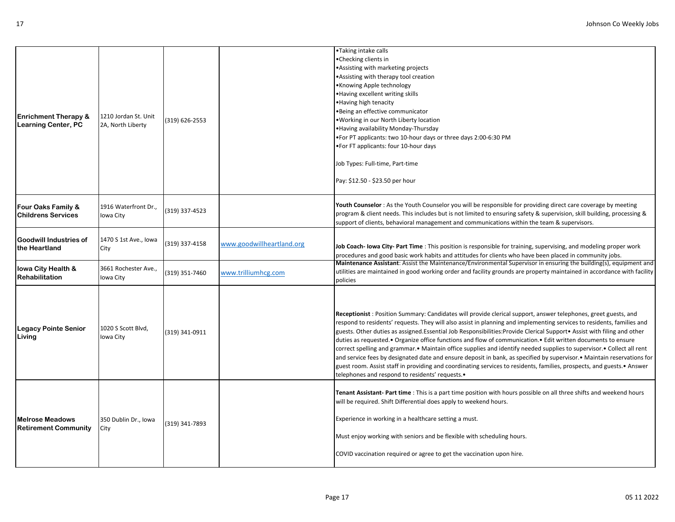| <b>Enrichment Therapy &amp;</b><br><b>Learning Center, PC</b> | 1210 Jordan St. Unit<br>2A, North Liberty | (319) 626-2553 |                           | •Taking intake calls<br>•Checking clients in<br>•Assisting with marketing projects<br>•Assisting with therapy tool creation<br>•Knowing Apple technology<br>.Having excellent writing skills<br>•Having high tenacity<br>•Being an effective communicator<br>. Working in our North Liberty location<br>.Having availability Monday-Thursday<br>. For PT applicants: two 10-hour days or three days 2:00-6:30 PM<br>.For FT applicants: four 10-hour days<br>Job Types: Full-time, Part-time<br>Pay: \$12.50 - \$23.50 per hour                                                                                                                                                                                                                                                                                                                                                                                      |
|---------------------------------------------------------------|-------------------------------------------|----------------|---------------------------|----------------------------------------------------------------------------------------------------------------------------------------------------------------------------------------------------------------------------------------------------------------------------------------------------------------------------------------------------------------------------------------------------------------------------------------------------------------------------------------------------------------------------------------------------------------------------------------------------------------------------------------------------------------------------------------------------------------------------------------------------------------------------------------------------------------------------------------------------------------------------------------------------------------------|
| Four Oaks Family &<br><b>Childrens Services</b>               | 1916 Waterfront Dr.,<br>Iowa City         | (319) 337-4523 |                           | Youth Counselor : As the Youth Counselor you will be responsible for providing direct care coverage by meeting<br>program & client needs. This includes but is not limited to ensuring safety & supervision, skill building, processing &<br>support of clients, behavioral management and communications within the team & supervisors.                                                                                                                                                                                                                                                                                                                                                                                                                                                                                                                                                                             |
| Goodwill Industries of<br>the Heartland                       | 1470 S 1st Ave., Iowa<br>City             | (319) 337-4158 | www.goodwillheartland.org | Job Coach- lowa City-Part Time : This position is responsible for training, supervising, and modeling proper work<br>procedures and good basic work habits and attitudes for clients who have been placed in community jobs.                                                                                                                                                                                                                                                                                                                                                                                                                                                                                                                                                                                                                                                                                         |
| lowa City Health &<br><b>Rehabilitation</b>                   | 3661 Rochester Ave.,<br>Iowa City         | (319) 351-7460 | www.trilliumhcg.com       | Maintenance Assistant: Assist the Maintenance/Environmental Supervisor in ensuring the building(s), equipment and<br>utilities are maintained in good working order and facility grounds are property maintained in accordance with facility<br>policies                                                                                                                                                                                                                                                                                                                                                                                                                                                                                                                                                                                                                                                             |
| <b>Legacy Pointe Senior</b><br>Living                         | 1020 S Scott Blvd,<br>Iowa City           | (319) 341-0911 |                           | Receptionist: Position Summary: Candidates will provide clerical support, answer telephones, greet guests, and<br>respond to residents' requests. They will also assist in planning and implementing services to residents, families and<br>guests. Other duties as assigned. Essential Job Responsibilities: Provide Clerical Support • Assist with filing and other<br>duties as requested.• Organize office functions and flow of communication.• Edit written documents to ensure<br>correct spelling and grammar.• Maintain office supplies and identify needed supplies to supervisor.• Collect all rent<br>and service fees by designated date and ensure deposit in bank, as specified by supervisor.• Maintain reservations for<br>guest room. Assist staff in providing and coordinating services to residents, families, prospects, and guests.• Answer<br>telephones and respond to residents' requests. |
| <b>Melrose Meadows</b><br><b>Retirement Community</b>         | 350 Dublin Dr., Iowa<br>City              | (319) 341-7893 |                           | Tenant Assistant-Part time : This is a part time position with hours possible on all three shifts and weekend hours<br>will be required. Shift Differential does apply to weekend hours.<br>Experience in working in a healthcare setting a must.<br>Must enjoy working with seniors and be flexible with scheduling hours.<br>COVID vaccination required or agree to get the vaccination upon hire.                                                                                                                                                                                                                                                                                                                                                                                                                                                                                                                 |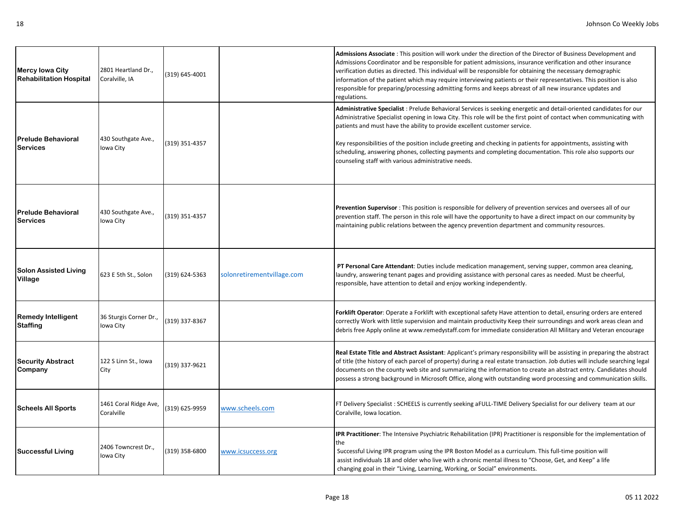| <b>Mercy lowa City</b><br><b>Rehabilitation Hospital</b> | 2801 Heartland Dr.,<br>Coralville, IA | (319) 645-4001 |                            | Admissions Associate: This position will work under the direction of the Director of Business Development and<br>Admissions Coordinator and be responsible for patient admissions, insurance verification and other insurance<br>verification duties as directed. This individual will be responsible for obtaining the necessary demographic<br>information of the patient which may require interviewing patients or their representatives. This position is also<br>responsible for preparing/processing admitting forms and keeps abreast of all new insurance updates and<br>regulations.                    |
|----------------------------------------------------------|---------------------------------------|----------------|----------------------------|-------------------------------------------------------------------------------------------------------------------------------------------------------------------------------------------------------------------------------------------------------------------------------------------------------------------------------------------------------------------------------------------------------------------------------------------------------------------------------------------------------------------------------------------------------------------------------------------------------------------|
| <b>Prelude Behavioral</b><br><b>Services</b>             | 430 Southgate Ave.,<br>Iowa City      | (319) 351-4357 |                            | Administrative Specialist : Prelude Behavioral Services is seeking energetic and detail-oriented candidates for our<br>Administrative Specialist opening in Iowa City. This role will be the first point of contact when communicating with<br>patients and must have the ability to provide excellent customer service.<br>Key responsibilities of the position include greeting and checking in patients for appointments, assisting with<br>scheduling, answering phones, collecting payments and completing documentation. This role also supports our<br>counseling staff with various administrative needs. |
| <b>Prelude Behavioral</b><br><b>Services</b>             | 430 Southgate Ave.,<br>Iowa City      | (319) 351-4357 |                            | Prevention Supervisor: This position is responsible for delivery of prevention services and oversees all of our<br>prevention staff. The person in this role will have the opportunity to have a direct impact on our community by<br>maintaining public relations between the agency prevention department and community resources.                                                                                                                                                                                                                                                                              |
| <b>Solon Assisted Living</b><br>Village                  | 623 E 5th St., Solon                  | (319) 624-5363 | solonretirementvillage.com | PT Personal Care Attendant: Duties include medication management, serving supper, common area cleaning,<br>laundry, answering tenant pages and providing assistance with personal cares as needed. Must be cheerful,<br>responsible, have attention to detail and enjoy working independently.                                                                                                                                                                                                                                                                                                                    |
| <b>Remedy Intelligent</b><br><b>Staffing</b>             | 36 Sturgis Corner Dr.,<br>Iowa City   | (319) 337-8367 |                            | Forklift Operator: Operate a Forklift with exceptional safety Have attention to detail, ensuring orders are entered<br>correctly Work with little supervision and maintain productivity Keep their surroundings and work areas clean and<br>debris free Apply online at www.remedystaff.com for immediate consideration All Military and Veteran encourage                                                                                                                                                                                                                                                        |
| <b>Security Abstract</b><br>Company                      | 122 S Linn St., Iowa<br>City          | (319) 337-9621 |                            | Real Estate Title and Abstract Assistant: Applicant's primary responsibility will be assisting in preparing the abstract<br>of title (the history of each parcel of property) during a real estate transaction. Job duties will include searching legal<br>documents on the county web site and summarizing the information to create an abstract entry. Candidates should<br>possess a strong background in Microsoft Office, along with outstanding word processing and communication skills.                                                                                                                   |
| <b>Scheels All Sports</b>                                | 1461 Coral Ridge Ave,<br>Coralville   | (319) 625-9959 | www.scheels.com            | FT Delivery Specialist: SCHEELS is currently seeking aFULL-TIME Delivery Specialist for our delivery team at our<br>Coralville, Iowa location.                                                                                                                                                                                                                                                                                                                                                                                                                                                                    |
| <b>Successful Living</b>                                 | 2406 Towncrest Dr.,<br>Iowa City      | (319) 358-6800 | www.icsuccess.org          | IPR Practitioner: The Intensive Psychiatric Rehabilitation (IPR) Practitioner is responsible for the implementation of<br>the<br>Successful Living IPR program using the IPR Boston Model as a curriculum. This full-time position will<br>assist individuals 18 and older who live with a chronic mental illness to "Choose, Get, and Keep" a life<br>changing goal in their "Living, Learning, Working, or Social" environments.                                                                                                                                                                                |